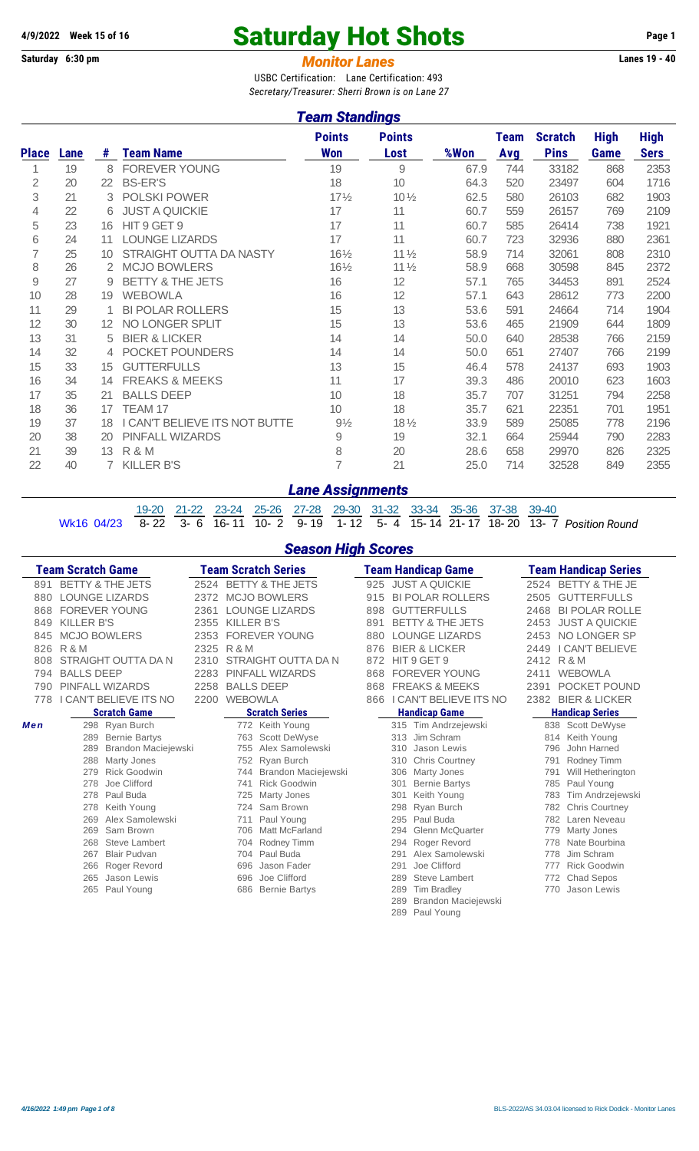# **4/9/2022** Week 15 of 16 **Saturday Hot Shots** Page 1<br>
Saturday 6:30 pm<br> **Monitor Lanes** 19 - 40

**Monitor Lanes** 

USBC Certification: Lane Certification: 493 *Secretary/Treasurer: Sherri Brown is on Lane 27*

#### *Team Standings*

|              | <u>ream Standings</u> |                   |                               |                             |                       |      |                    |                               |                            |                            |  |  |  |
|--------------|-----------------------|-------------------|-------------------------------|-----------------------------|-----------------------|------|--------------------|-------------------------------|----------------------------|----------------------------|--|--|--|
| <b>Place</b> | Lane                  | #                 | <b>Team Name</b>              | <b>Points</b><br><b>Won</b> | <b>Points</b><br>Lost | %Won | <b>Team</b><br>Avg | <b>Scratch</b><br><b>Pins</b> | <b>High</b><br><b>Game</b> | <b>High</b><br><b>Sers</b> |  |  |  |
|              | 19                    | 8                 | <b>FOREVER YOUNG</b>          | 19                          | 9                     | 67.9 | 744                | 33182                         | 868                        | 2353                       |  |  |  |
| 2            | 20                    | 22                | <b>BS-ER'S</b>                | 18                          | 10                    | 64.3 | 520                | 23497                         | 604                        | 1716                       |  |  |  |
| 3            | 21                    | 3                 | <b>POLSKI POWER</b>           | $17\frac{1}{2}$             | $10\frac{1}{2}$       | 62.5 | 580                | 26103                         | 682                        | 1903                       |  |  |  |
| 4            | 22                    | 6                 | <b>JUST A QUICKIE</b>         | 17                          | 11                    | 60.7 | 559                | 26157                         | 769                        | 2109                       |  |  |  |
| 5            | 23                    | 16                | HIT 9 GET 9                   | 17                          | 11                    | 60.7 | 585                | 26414                         | 738                        | 1921                       |  |  |  |
| 6            | 24                    | 11                | <b>LOUNGE LIZARDS</b>         | 17                          | 11                    | 60.7 | 723                | 32936                         | 880                        | 2361                       |  |  |  |
| 7            | 25                    | 10                | STRAIGHT OUTTA DA NASTY       | $16\frac{1}{2}$             | 11 <sub>2</sub>       | 58.9 | 714                | 32061                         | 808                        | 2310                       |  |  |  |
| 8            | 26                    | 2                 | <b>MCJO BOWLERS</b>           | $16\frac{1}{2}$             | $11\frac{1}{2}$       | 58.9 | 668                | 30598                         | 845                        | 2372                       |  |  |  |
| 9            | 27                    | 9                 | BETTY & THE JETS              | 16                          | 12                    | 57.1 | 765                | 34453                         | 891                        | 2524                       |  |  |  |
| 10           | 28                    | 19                | <b>WEBOWLA</b>                | 16                          | 12                    | 57.1 | 643                | 28612                         | 773                        | 2200                       |  |  |  |
| 11           | 29                    | 1                 | <b>BI POLAR ROLLERS</b>       | 15                          | 13                    | 53.6 | 591                | 24664                         | 714                        | 1904                       |  |  |  |
| 12           | 30                    | $12 \overline{ }$ | NO LONGER SPLIT               | 15                          | 13                    | 53.6 | 465                | 21909                         | 644                        | 1809                       |  |  |  |
| 13           | 31                    | 5                 | <b>BIER &amp; LICKER</b>      | 14                          | 14                    | 50.0 | 640                | 28538                         | 766                        | 2159                       |  |  |  |
| 14           | 32                    | 4                 | POCKET POUNDERS               | 14                          | 14                    | 50.0 | 651                | 27407                         | 766                        | 2199                       |  |  |  |
| 15           | 33                    | 15                | <b>GUTTERFULLS</b>            | 13                          | 15                    | 46.4 | 578                | 24137                         | 693                        | 1903                       |  |  |  |
| 16           | 34                    | 14                | <b>FREAKS &amp; MEEKS</b>     | 11                          | 17                    | 39.3 | 486                | 20010                         | 623                        | 1603                       |  |  |  |
| 17           | 35                    | 21                | <b>BALLS DEEP</b>             | 10                          | 18                    | 35.7 | 707                | 31251                         | 794                        | 2258                       |  |  |  |
| 18           | 36                    | 17                | TEAM 17                       | 10                          | 18                    | 35.7 | 621                | 22351                         | 701                        | 1951                       |  |  |  |
| 19           | 37                    | 18                | I CAN'T BELIEVE ITS NOT BUTTE | $9\frac{1}{2}$              | $18\frac{1}{2}$       | 33.9 | 589                | 25085                         | 778                        | 2196                       |  |  |  |
| 20           | 38                    | 20                | PINFALL WIZARDS               | $\mathsf{9}$                | 19                    | 32.1 | 664                | 25944                         | 790                        | 2283                       |  |  |  |
| 21           | 39                    | 13 <sup>°</sup>   | R & M                         | 8                           | 20                    | 28.6 | 658                | 29970                         | 826                        | 2325                       |  |  |  |
| 22           | 40                    | 7                 | <b>KILLER B'S</b>             | $\overline{7}$              | 21                    | 25.0 | 714                | 32528                         | 849                        | 2355                       |  |  |  |

#### *Lane Assignments*

19-20 21-22 23-24 25-26 27-28 29-30 31-32 33-34 35-36 37-38 39-40 Wk16 04/23 8- 22 3- 6 16- 11 10- 2 9- 19 1- 12 5- 4 15- 14 21- 17 18- 20 13- 7 *Position Round*

*Season High Scores*

|     | <b>Team Scratch Game</b>    |      | <b>Team Scratch Series</b>   |     | Team Handicap Game            | <b>Team Handicap Series</b>      |
|-----|-----------------------------|------|------------------------------|-----|-------------------------------|----------------------------------|
| 891 | <b>BETTY &amp; THE JETS</b> | 2524 | <b>BETTY &amp; THE JETS</b>  | 925 | <b>JUST A QUICKIE</b>         | BETTY & THE JE<br>2524           |
| 880 | <b>LOUNGE LIZARDS</b>       | 2372 | <b>MCJO BOWLERS</b>          | 915 | <b>BI POLAR ROLLERS</b>       | <b>GUTTERFULLS</b><br>2505       |
| 868 | <b>FOREVER YOUNG</b>        | 2361 | <b>LOUNGE LIZARDS</b>        | 898 | <b>GUTTERFULLS</b>            | <b>BI POLAR ROLLE</b><br>2468    |
| 849 | <b>KILLER B'S</b>           | 2355 | <b>KILLER B'S</b>            | 891 | <b>BETTY &amp; THE JETS</b>   | 2453<br><b>JUST A QUICKIE</b>    |
| 845 | <b>MCJO BOWLERS</b>         | 2353 | <b>FOREVER YOUNG</b>         | 880 | <b>LOUNGE LIZARDS</b>         | NO LONGER SP<br>2453             |
| 826 | R & M                       | 2325 | R & M                        | 876 | <b>BIER &amp; LICKER</b>      | <b>I CAN'T BELIEVE</b><br>2449   |
| 808 | STRAIGHT OUTTA DA N         | 2310 | STRAIGHT OUTTA DA N          | 872 | HIT 9 GET 9                   | R & M<br>2412                    |
| 794 | <b>BALLS DEEP</b>           | 2283 | PINFALL WIZARDS              | 868 | <b>FOREVER YOUNG</b>          | <b>WEBOWLA</b><br>2411           |
| 790 | PINFALL WIZARDS             | 2258 | <b>BALLS DEEP</b>            | 868 | <b>FREAKS &amp; MEEKS</b>     | POCKET POUND<br>2391             |
| 778 | CAN'T BELIEVE ITS NO        | 2200 | <b>WEBOWLA</b>               | 866 | I CAN'T BELIEVE ITS NO        | <b>BIER &amp; LICKER</b><br>2382 |
|     | <b>Scratch Game</b>         |      | <b>Scratch Series</b>        |     | <b>Handicap Game</b>          | <b>Handicap Series</b>           |
| Men | 298 Ryan Burch              |      | 772 Keith Young              |     | 315 Tim Andrzejewski          | 838 Scott DeWyse                 |
|     | <b>Bernie Bartys</b><br>289 |      | <b>Scott DeWyse</b><br>763   |     | Jim Schram<br>313             | Keith Young<br>814               |
|     | 289<br>Brandon Maciejewski  |      | Alex Samolewski<br>755       |     | 310<br>Jason Lewis            | 796<br>John Harned               |
|     | 288<br>Marty Jones          |      | 752 Ryan Burch               |     | 310<br><b>Chris Courtney</b>  | Rodney Timm<br>791               |
|     | <b>Rick Goodwin</b><br>279  |      | Brandon Maciejewski<br>744   |     | Marty Jones<br>306            | Will Hetherington<br>791         |
|     | Joe Clifford<br>278         |      | <b>Rick Goodwin</b><br>741   |     | <b>Bernie Bartys</b><br>301   | Paul Young<br>785                |
|     | 278<br>Paul Buda            |      | Marty Jones<br>725           |     | Keith Young<br>301            | Tim Andrzejewski<br>783          |
|     | 278<br>Keith Young          |      | Sam Brown<br>724             |     | Ryan Burch<br>298             | <b>Chris Courtney</b><br>782     |
|     | Alex Samolewski<br>269      |      | Paul Young<br>711            |     | Paul Buda<br>295              | Laren Neveau<br>782              |
|     | 269<br>Sam Brown            |      | <b>Matt McFarland</b><br>706 |     | <b>Glenn McQuarter</b><br>294 | Marty Jones<br>779               |
|     | 268<br><b>Steve Lambert</b> |      | <b>Rodney Timm</b><br>704    |     | Roger Revord<br>294           | Nate Bourbina<br>778             |
|     | <b>Blair Pudvan</b><br>267  |      | Paul Buda<br>704             |     | Alex Samolewski<br>291        | Jim Schram<br>778                |
|     | 266<br>Roger Revord         |      | Jason Fader<br>696           |     | Joe Clifford<br>291           | <b>Rick Goodwin</b><br>777       |
|     | Jason Lewis<br>265          |      | Joe Clifford<br>696          |     | <b>Steve Lambert</b><br>289   | Chad Sepos<br>772                |
|     | 265 Paul Young              |      | <b>Bernie Bartys</b><br>686  |     | <b>Tim Bradley</b><br>289     | Jason Lewis<br>770               |
|     |                             |      |                              |     | Brandon Maciejewski<br>289    |                                  |
|     |                             |      |                              |     | 289<br>Paul Young             |                                  |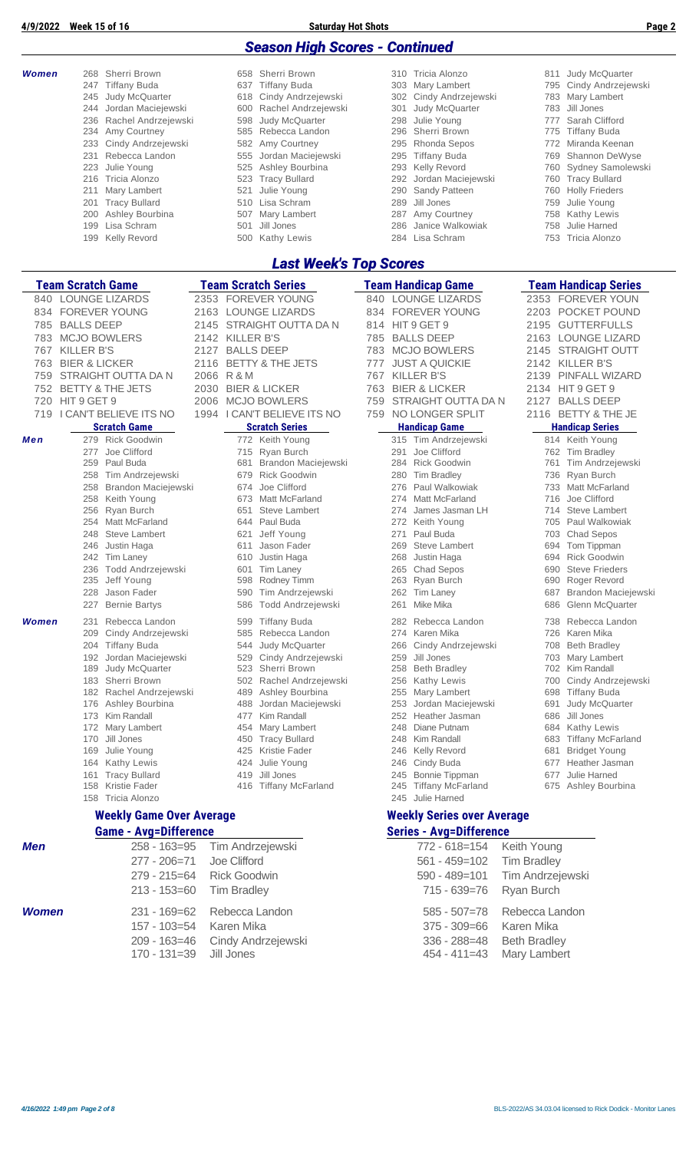| <b>Season High Scores - Continued</b><br>Sherri Brown<br>658 Sherri Brown<br>Judy McQuarter<br><b>Women</b><br>268<br>310 Tricia Alonzo<br>811<br><b>Tiffany Buda</b><br><b>Tiffany Buda</b><br>Mary Lambert<br>Cindy Andrzejewski<br>637<br>795<br>247<br>303<br>Cindy Andrzejewski<br>Cindy Andrzejewski<br>Mary Lambert<br>245<br>Judy McQuarter<br>618<br>302<br>783<br>Jordan Maciejewski<br>Rachel Andrzejewski<br>Judy McQuarter<br>Jill Jones<br>600<br>301<br>783<br>244<br>Julie Young<br>Rachel Andrzejewski<br>Judy McQuarter<br>Sarah Clifford<br>236<br>598<br>298<br>777<br>Amy Courtney<br>234<br>585<br>Rebecca Landon<br>296<br>Sherri Brown<br><b>Tiffany Buda</b><br>775<br>Cindy Andrzejewski<br>Amy Courtney<br>Rhonda Sepos<br>Miranda Keenan<br>233<br>582<br>772<br>295<br>231<br>Rebecca Landon<br>Jordan Maciejewski<br><b>Tiffany Buda</b><br>769<br>Shannon DeWyse<br>555<br>295<br>Ashley Bourbina<br>Julie Young<br>Kelly Revord<br>223<br>525<br>760<br>293<br><b>Tracy Bullard</b><br>Jordan Maciejewski<br><b>Tracy Bullard</b><br>216<br>Tricia Alonzo<br>523<br>292<br>760<br>Mary Lambert<br>521<br>Julie Young<br>Sandy Patteen<br><b>Holly Frieders</b><br>211<br>290<br>760<br>Lisa Schram<br>Jill Jones<br>201 Tracy Bullard<br>Julie Young<br>510<br>289<br>759<br>Ashley Bourbina<br>Amy Courtney<br>200<br>507 Mary Lambert<br>287<br>758<br><b>Kathy Lewis</b><br>Lisa Schram<br>Jill Jones<br>Janice Walkowiak<br>Julie Harned<br>199<br>501<br>286<br>758<br><b>Kelly Revord</b><br><b>Kathy Lewis</b><br>Lisa Schram<br>753<br>Tricia Alonzo<br>199<br>500<br>284<br><b>Last Week's Top Scores</b><br><b>Team Scratch Game</b><br><b>Team Scratch Series</b><br><b>Team Handicap Game</b><br><b>Team Handicap Series</b><br><b>LOUNGE LIZARDS</b><br><b>FOREVER YOUNG</b><br><b>LOUNGE LIZARDS</b><br>2353 FOREVER YOUN<br>2353<br>840<br>840<br>834 FOREVER YOUNG<br><b>LOUNGE LIZARDS</b><br><b>FOREVER YOUNG</b><br>2203 POCKET POUND<br>2163<br>834<br><b>BALLS DEEP</b><br>STRAIGHT OUTTA DA N<br>HIT 9 GET 9<br>2195 GUTTERFULLS<br>2145<br>785<br>814<br><b>MCJO BOWLERS</b><br><b>BALLS DEEP</b><br>783<br>2142<br>KILLER B'S<br>2163 LOUNGE LIZARD<br>785<br><b>KILLER B'S</b><br><b>BALLS DEEP</b><br><b>MCJO BOWLERS</b><br><b>STRAIGHT OUTT</b><br>767<br>2127<br>783<br>2145<br><b>BIER &amp; LICKER</b><br>BETTY & THE JETS<br><b>JUST A QUICKIE</b><br>763<br>2116<br>777<br>2142<br>KILLER B'S<br>759<br>STRAIGHT OUTTA DA N<br>2066<br><b>R&amp;M</b><br>767<br><b>KILLER B'S</b><br>PINFALL WIZARD<br>2139<br><b>BETTY &amp; THE JETS</b><br><b>BIER &amp; LICKER</b><br><b>BIER &amp; LICKER</b><br>752<br>2030<br>763<br>2134 HIT 9 GET 9<br>STRAIGHT OUTTA DA N<br>720<br>HIT 9 GET 9<br><b>MCJO BOWLERS</b><br>759<br>2127<br><b>BALLS DEEP</b><br>2006<br>719 I CAN'T BELIEVE ITS NO<br>1994   CAN'T BELIEVE ITS NO<br>NO LONGER SPLIT<br>759<br>2116 BETTY & THE JE<br><b>Scratch Game</b><br><b>Scratch Series</b><br><b>Handicap Game</b><br><b>Handicap Series</b><br>279 Rick Goodwin<br>772 Keith Young<br>315 Tim Andrzejewski<br>814 Keith Young<br>Men<br>277<br>Joe Clifford<br>715 Ryan Burch<br>Joe Clifford<br>762 Tim Bradley<br>291<br>Paul Buda<br>Brandon Maciejewski<br><b>Rick Goodwin</b><br>Tim Andrzejewski<br>259<br>681<br>284<br>761<br>Tim Andrzejewski<br><b>Rick Goodwin</b><br>Ryan Burch<br>258<br><b>Tim Bradley</b><br>736<br>679<br>280<br>Brandon Maciejewski<br>Joe Clifford<br>Paul Walkowiak<br>Matt McFarland<br>258<br>674<br>276<br>733<br>Keith Young<br><b>Matt McFarland</b><br>Matt McFarland<br>Joe Clifford<br>258<br>673<br>274<br>716<br>256 Ryan Burch<br>651<br>Steve Lambert<br>274 James Jasman LH<br>714 Steve Lambert<br>644 Paul Buda<br>705 Paul Walkowiak<br>254 Matt McFarland<br>272 Keith Young<br>621 Jeff Young<br>248 Steve Lambert<br>271<br>Paul Buda<br>703 Chad Sepos<br>Jason Fader<br><b>Steve Lambert</b><br>246 Justin Haga<br>694<br>Tom Tippman<br>611<br>269<br>242 Tim Laney<br>Justin Haga<br>Justin Haga<br><b>Rick Goodwin</b><br>268<br>694<br>610<br>236 Todd Andrzejewski<br><b>Chad Sepos</b><br><b>Steve Frieders</b><br><b>Tim Laney</b><br>265<br>690<br>601<br>235 Jeff Young<br>598 Rodney Timm<br>263 Ryan Burch<br>690<br>Roger Revord<br>228 Jason Fader<br>590 Tim Andrzejewski<br>262 Tim Laney<br>687<br>Brandon Maciejewski<br>Mike Mika<br>Glenn McQuarter<br><b>Bernie Bartys</b><br>Todd Andrzejewski<br>686<br>227<br>586<br>261<br><b>Women</b><br>231<br>Rebecca Landon<br>599 Tiffany Buda<br>Rebecca Landon<br>738 Rebecca Landon<br>282<br>274 Karen Mika<br>209 Cindy Andrzejewski<br>Rebecca Landon<br>726 Karen Mika<br>585<br>204 Tiffany Buda<br>544 Judy McQuarter<br>Cindy Andrzejewski<br>708 Beth Bradley<br>266<br>192 Jordan Maciejewski<br>Cindy Andrzejewski<br>Jill Jones<br>703 Mary Lambert<br>529<br>259<br>189 Judy McQuarter<br><b>Beth Bradley</b><br>523<br>Sherri Brown<br>702 Kim Randall<br>258<br>183 Sherri Brown<br>502 Rachel Andrzejewski<br><b>Kathy Lewis</b><br>700<br>256<br>182 Rachel Andrzejewski<br>Ashley Bourbina<br>Mary Lambert<br><b>Tiffany Buda</b><br>489<br>255<br>698<br>488 Jordan Maciejewski<br>Jordan Maciejewski<br>691<br><b>Judy McQuarter</b><br>176 Ashley Bourbina<br>253<br>477 Kim Randall<br>Jill Jones<br>173 Kim Randall<br>Heather Jasman<br>686<br>252<br>454 Mary Lambert<br>Diane Putnam<br>684 Kathy Lewis<br>172 Mary Lambert<br>248<br>170 Jill Jones<br>450 Tracy Bullard<br>248<br>Kim Randall<br>683 Tiffany McFarland<br>169 Julie Young<br>425 Kristie Fader<br><b>Kelly Revord</b><br>681<br><b>Bridget Young</b><br>246<br>424 Julie Young<br>Cindy Buda<br>Heather Jasman<br>164 Kathy Lewis<br>246<br>677<br>161 Tracy Bullard<br>419 Jill Jones<br><b>Bonnie Tippman</b><br>Julie Harned<br>677<br>245<br>158 Kristie Fader<br>416 Tiffany McFarland<br><b>Tiffany McFarland</b><br>675 Ashley Bourbina<br>245<br>245 Julie Harned<br>158 Tricia Alonzo<br><b>Weekly Game Over Average</b><br><b>Weekly Series over Average</b><br><b>Game - Avg=Difference</b><br><b>Series - Avg=Difference</b><br>$258 - 163 = 95$<br>772 - 618=154<br>Tim Andrzejewski<br>Keith Young<br>Joe Clifford<br>277 - 206=71<br>$561 - 459 = 102$<br><b>Tim Bradley</b><br>$279 - 215 = 64$<br><b>Rick Goodwin</b><br>$590 - 489 = 101$<br>Tim Andrzejewski<br>$213 - 153 = 60$<br><b>Tim Bradley</b><br>715 - 639=76<br>Ryan Burch<br><b>Women</b><br>$231 - 169 = 62$<br>Rebecca Landon<br>$585 - 507 = 78$<br>Rebecca Landon<br>157 - 103=54<br>$375 - 309 = 66$<br>Karen Mika<br>Karen Mika<br>336 - 288=48<br><b>Beth Bradley</b><br>209 - 163=46<br>Cindy Andrzejewski<br>$170 - 131 = 39$<br>Jill Jones | 4/9/2022   | <b>Week 15 of 16</b> | <b>Saturday Hot Shots</b> |                  | Page 2             |
|----------------------------------------------------------------------------------------------------------------------------------------------------------------------------------------------------------------------------------------------------------------------------------------------------------------------------------------------------------------------------------------------------------------------------------------------------------------------------------------------------------------------------------------------------------------------------------------------------------------------------------------------------------------------------------------------------------------------------------------------------------------------------------------------------------------------------------------------------------------------------------------------------------------------------------------------------------------------------------------------------------------------------------------------------------------------------------------------------------------------------------------------------------------------------------------------------------------------------------------------------------------------------------------------------------------------------------------------------------------------------------------------------------------------------------------------------------------------------------------------------------------------------------------------------------------------------------------------------------------------------------------------------------------------------------------------------------------------------------------------------------------------------------------------------------------------------------------------------------------------------------------------------------------------------------------------------------------------------------------------------------------------------------------------------------------------------------------------------------------------------------------------------------------------------------------------------------------------------------------------------------------------------------------------------------------------------------------------------------------------------------------------------------------------------------------------------------------------------------------------------------------------------------------------------------------------------------------------------------------------------------------------------------------------------------------------------------------------------------------------------------------------------------------------------------------------------------------------------------------------------------------------------------------------------------------------------------------------------------------------------------------------------------------------------------------------------------------------------------------------------------------------------------------------------------------------------------------------------------------------------------------------------------------------------------------------------------------------------------------------------------------------------------------------------------------------------------------------------------------------------------------------------------------------------------------------------------------------------------------------------------------------------------------------------------------------------------------------------------------------------------------------------------------------------------------------------------------------------------------------------------------------------------------------------------------------------------------------------------------------------------------------------------------------------------------------------------------------------------------------------------------------------------------------------------------------------------------------------------------------------------------------------------------------------------------------------------------------------------------------------------------------------------------------------------------------------------------------------------------------------------------------------------------------------------------------------------------------------------------------------------------------------------------------------------------------------------------------------------------------------------------------------------------------------------------------------------------------------------------------------------------------------------------------------------------------------------------------------------------------------------------------------------------------------------------------------------------------------------------------------------------------------------------------------------------------------------------------------------------------------------------------------------------------------------------------------------------------------------------------------------------------------------------------------------------------------------------------------------------------------------------------------------------------------------------------------------------------------------------------------------------------------------------------------------------------------------------------------------------------------------------------------------------------------------------------------------------------------------------------------------------------------------------------------------------------------------------------------------------------------------------------------------------------------------------------------------------------------------------------------------------------------------------------------------------------------------------------------------------------------------------------------------------------------------------------------------------------------------------------------------------------------------------------------------------------------------------------------------------------------------------------------------------------------------------------------------------------------------------------------------------------------------------------------------------------------------------------------------------------------------|------------|----------------------|---------------------------|------------------|--------------------|
|                                                                                                                                                                                                                                                                                                                                                                                                                                                                                                                                                                                                                                                                                                                                                                                                                                                                                                                                                                                                                                                                                                                                                                                                                                                                                                                                                                                                                                                                                                                                                                                                                                                                                                                                                                                                                                                                                                                                                                                                                                                                                                                                                                                                                                                                                                                                                                                                                                                                                                                                                                                                                                                                                                                                                                                                                                                                                                                                                                                                                                                                                                                                                                                                                                                                                                                                                                                                                                                                                                                                                                                                                                                                                                                                                                                                                                                                                                                                                                                                                                                                                                                                                                                                                                                                                                                                                                                                                                                                                                                                                                                                                                                                                                                                                                                                                                                                                                                                                                                                                                                                                                                                                                                                                                                                                                                                                                                                                                                                                                                                                                                                                                                                                                                                                                                                                                                                                                                                                                                                                                                                                                                                                                                                                                                                                                                                                                                                                                                                                                                                                                                                                                                                                                                                                          |            |                      |                           |                  |                    |
|                                                                                                                                                                                                                                                                                                                                                                                                                                                                                                                                                                                                                                                                                                                                                                                                                                                                                                                                                                                                                                                                                                                                                                                                                                                                                                                                                                                                                                                                                                                                                                                                                                                                                                                                                                                                                                                                                                                                                                                                                                                                                                                                                                                                                                                                                                                                                                                                                                                                                                                                                                                                                                                                                                                                                                                                                                                                                                                                                                                                                                                                                                                                                                                                                                                                                                                                                                                                                                                                                                                                                                                                                                                                                                                                                                                                                                                                                                                                                                                                                                                                                                                                                                                                                                                                                                                                                                                                                                                                                                                                                                                                                                                                                                                                                                                                                                                                                                                                                                                                                                                                                                                                                                                                                                                                                                                                                                                                                                                                                                                                                                                                                                                                                                                                                                                                                                                                                                                                                                                                                                                                                                                                                                                                                                                                                                                                                                                                                                                                                                                                                                                                                                                                                                                                                          |            |                      |                           |                  |                    |
|                                                                                                                                                                                                                                                                                                                                                                                                                                                                                                                                                                                                                                                                                                                                                                                                                                                                                                                                                                                                                                                                                                                                                                                                                                                                                                                                                                                                                                                                                                                                                                                                                                                                                                                                                                                                                                                                                                                                                                                                                                                                                                                                                                                                                                                                                                                                                                                                                                                                                                                                                                                                                                                                                                                                                                                                                                                                                                                                                                                                                                                                                                                                                                                                                                                                                                                                                                                                                                                                                                                                                                                                                                                                                                                                                                                                                                                                                                                                                                                                                                                                                                                                                                                                                                                                                                                                                                                                                                                                                                                                                                                                                                                                                                                                                                                                                                                                                                                                                                                                                                                                                                                                                                                                                                                                                                                                                                                                                                                                                                                                                                                                                                                                                                                                                                                                                                                                                                                                                                                                                                                                                                                                                                                                                                                                                                                                                                                                                                                                                                                                                                                                                                                                                                                                                          |            |                      |                           |                  |                    |
|                                                                                                                                                                                                                                                                                                                                                                                                                                                                                                                                                                                                                                                                                                                                                                                                                                                                                                                                                                                                                                                                                                                                                                                                                                                                                                                                                                                                                                                                                                                                                                                                                                                                                                                                                                                                                                                                                                                                                                                                                                                                                                                                                                                                                                                                                                                                                                                                                                                                                                                                                                                                                                                                                                                                                                                                                                                                                                                                                                                                                                                                                                                                                                                                                                                                                                                                                                                                                                                                                                                                                                                                                                                                                                                                                                                                                                                                                                                                                                                                                                                                                                                                                                                                                                                                                                                                                                                                                                                                                                                                                                                                                                                                                                                                                                                                                                                                                                                                                                                                                                                                                                                                                                                                                                                                                                                                                                                                                                                                                                                                                                                                                                                                                                                                                                                                                                                                                                                                                                                                                                                                                                                                                                                                                                                                                                                                                                                                                                                                                                                                                                                                                                                                                                                                                          |            |                      |                           |                  |                    |
|                                                                                                                                                                                                                                                                                                                                                                                                                                                                                                                                                                                                                                                                                                                                                                                                                                                                                                                                                                                                                                                                                                                                                                                                                                                                                                                                                                                                                                                                                                                                                                                                                                                                                                                                                                                                                                                                                                                                                                                                                                                                                                                                                                                                                                                                                                                                                                                                                                                                                                                                                                                                                                                                                                                                                                                                                                                                                                                                                                                                                                                                                                                                                                                                                                                                                                                                                                                                                                                                                                                                                                                                                                                                                                                                                                                                                                                                                                                                                                                                                                                                                                                                                                                                                                                                                                                                                                                                                                                                                                                                                                                                                                                                                                                                                                                                                                                                                                                                                                                                                                                                                                                                                                                                                                                                                                                                                                                                                                                                                                                                                                                                                                                                                                                                                                                                                                                                                                                                                                                                                                                                                                                                                                                                                                                                                                                                                                                                                                                                                                                                                                                                                                                                                                                                                          |            |                      |                           |                  |                    |
|                                                                                                                                                                                                                                                                                                                                                                                                                                                                                                                                                                                                                                                                                                                                                                                                                                                                                                                                                                                                                                                                                                                                                                                                                                                                                                                                                                                                                                                                                                                                                                                                                                                                                                                                                                                                                                                                                                                                                                                                                                                                                                                                                                                                                                                                                                                                                                                                                                                                                                                                                                                                                                                                                                                                                                                                                                                                                                                                                                                                                                                                                                                                                                                                                                                                                                                                                                                                                                                                                                                                                                                                                                                                                                                                                                                                                                                                                                                                                                                                                                                                                                                                                                                                                                                                                                                                                                                                                                                                                                                                                                                                                                                                                                                                                                                                                                                                                                                                                                                                                                                                                                                                                                                                                                                                                                                                                                                                                                                                                                                                                                                                                                                                                                                                                                                                                                                                                                                                                                                                                                                                                                                                                                                                                                                                                                                                                                                                                                                                                                                                                                                                                                                                                                                                                          |            |                      |                           |                  |                    |
|                                                                                                                                                                                                                                                                                                                                                                                                                                                                                                                                                                                                                                                                                                                                                                                                                                                                                                                                                                                                                                                                                                                                                                                                                                                                                                                                                                                                                                                                                                                                                                                                                                                                                                                                                                                                                                                                                                                                                                                                                                                                                                                                                                                                                                                                                                                                                                                                                                                                                                                                                                                                                                                                                                                                                                                                                                                                                                                                                                                                                                                                                                                                                                                                                                                                                                                                                                                                                                                                                                                                                                                                                                                                                                                                                                                                                                                                                                                                                                                                                                                                                                                                                                                                                                                                                                                                                                                                                                                                                                                                                                                                                                                                                                                                                                                                                                                                                                                                                                                                                                                                                                                                                                                                                                                                                                                                                                                                                                                                                                                                                                                                                                                                                                                                                                                                                                                                                                                                                                                                                                                                                                                                                                                                                                                                                                                                                                                                                                                                                                                                                                                                                                                                                                                                                          |            |                      |                           |                  |                    |
|                                                                                                                                                                                                                                                                                                                                                                                                                                                                                                                                                                                                                                                                                                                                                                                                                                                                                                                                                                                                                                                                                                                                                                                                                                                                                                                                                                                                                                                                                                                                                                                                                                                                                                                                                                                                                                                                                                                                                                                                                                                                                                                                                                                                                                                                                                                                                                                                                                                                                                                                                                                                                                                                                                                                                                                                                                                                                                                                                                                                                                                                                                                                                                                                                                                                                                                                                                                                                                                                                                                                                                                                                                                                                                                                                                                                                                                                                                                                                                                                                                                                                                                                                                                                                                                                                                                                                                                                                                                                                                                                                                                                                                                                                                                                                                                                                                                                                                                                                                                                                                                                                                                                                                                                                                                                                                                                                                                                                                                                                                                                                                                                                                                                                                                                                                                                                                                                                                                                                                                                                                                                                                                                                                                                                                                                                                                                                                                                                                                                                                                                                                                                                                                                                                                                                          |            |                      |                           |                  |                    |
|                                                                                                                                                                                                                                                                                                                                                                                                                                                                                                                                                                                                                                                                                                                                                                                                                                                                                                                                                                                                                                                                                                                                                                                                                                                                                                                                                                                                                                                                                                                                                                                                                                                                                                                                                                                                                                                                                                                                                                                                                                                                                                                                                                                                                                                                                                                                                                                                                                                                                                                                                                                                                                                                                                                                                                                                                                                                                                                                                                                                                                                                                                                                                                                                                                                                                                                                                                                                                                                                                                                                                                                                                                                                                                                                                                                                                                                                                                                                                                                                                                                                                                                                                                                                                                                                                                                                                                                                                                                                                                                                                                                                                                                                                                                                                                                                                                                                                                                                                                                                                                                                                                                                                                                                                                                                                                                                                                                                                                                                                                                                                                                                                                                                                                                                                                                                                                                                                                                                                                                                                                                                                                                                                                                                                                                                                                                                                                                                                                                                                                                                                                                                                                                                                                                                                          |            |                      |                           |                  |                    |
|                                                                                                                                                                                                                                                                                                                                                                                                                                                                                                                                                                                                                                                                                                                                                                                                                                                                                                                                                                                                                                                                                                                                                                                                                                                                                                                                                                                                                                                                                                                                                                                                                                                                                                                                                                                                                                                                                                                                                                                                                                                                                                                                                                                                                                                                                                                                                                                                                                                                                                                                                                                                                                                                                                                                                                                                                                                                                                                                                                                                                                                                                                                                                                                                                                                                                                                                                                                                                                                                                                                                                                                                                                                                                                                                                                                                                                                                                                                                                                                                                                                                                                                                                                                                                                                                                                                                                                                                                                                                                                                                                                                                                                                                                                                                                                                                                                                                                                                                                                                                                                                                                                                                                                                                                                                                                                                                                                                                                                                                                                                                                                                                                                                                                                                                                                                                                                                                                                                                                                                                                                                                                                                                                                                                                                                                                                                                                                                                                                                                                                                                                                                                                                                                                                                                                          |            |                      |                           |                  | Sydney Samolewski  |
|                                                                                                                                                                                                                                                                                                                                                                                                                                                                                                                                                                                                                                                                                                                                                                                                                                                                                                                                                                                                                                                                                                                                                                                                                                                                                                                                                                                                                                                                                                                                                                                                                                                                                                                                                                                                                                                                                                                                                                                                                                                                                                                                                                                                                                                                                                                                                                                                                                                                                                                                                                                                                                                                                                                                                                                                                                                                                                                                                                                                                                                                                                                                                                                                                                                                                                                                                                                                                                                                                                                                                                                                                                                                                                                                                                                                                                                                                                                                                                                                                                                                                                                                                                                                                                                                                                                                                                                                                                                                                                                                                                                                                                                                                                                                                                                                                                                                                                                                                                                                                                                                                                                                                                                                                                                                                                                                                                                                                                                                                                                                                                                                                                                                                                                                                                                                                                                                                                                                                                                                                                                                                                                                                                                                                                                                                                                                                                                                                                                                                                                                                                                                                                                                                                                                                          |            |                      |                           |                  |                    |
|                                                                                                                                                                                                                                                                                                                                                                                                                                                                                                                                                                                                                                                                                                                                                                                                                                                                                                                                                                                                                                                                                                                                                                                                                                                                                                                                                                                                                                                                                                                                                                                                                                                                                                                                                                                                                                                                                                                                                                                                                                                                                                                                                                                                                                                                                                                                                                                                                                                                                                                                                                                                                                                                                                                                                                                                                                                                                                                                                                                                                                                                                                                                                                                                                                                                                                                                                                                                                                                                                                                                                                                                                                                                                                                                                                                                                                                                                                                                                                                                                                                                                                                                                                                                                                                                                                                                                                                                                                                                                                                                                                                                                                                                                                                                                                                                                                                                                                                                                                                                                                                                                                                                                                                                                                                                                                                                                                                                                                                                                                                                                                                                                                                                                                                                                                                                                                                                                                                                                                                                                                                                                                                                                                                                                                                                                                                                                                                                                                                                                                                                                                                                                                                                                                                                                          |            |                      |                           |                  |                    |
|                                                                                                                                                                                                                                                                                                                                                                                                                                                                                                                                                                                                                                                                                                                                                                                                                                                                                                                                                                                                                                                                                                                                                                                                                                                                                                                                                                                                                                                                                                                                                                                                                                                                                                                                                                                                                                                                                                                                                                                                                                                                                                                                                                                                                                                                                                                                                                                                                                                                                                                                                                                                                                                                                                                                                                                                                                                                                                                                                                                                                                                                                                                                                                                                                                                                                                                                                                                                                                                                                                                                                                                                                                                                                                                                                                                                                                                                                                                                                                                                                                                                                                                                                                                                                                                                                                                                                                                                                                                                                                                                                                                                                                                                                                                                                                                                                                                                                                                                                                                                                                                                                                                                                                                                                                                                                                                                                                                                                                                                                                                                                                                                                                                                                                                                                                                                                                                                                                                                                                                                                                                                                                                                                                                                                                                                                                                                                                                                                                                                                                                                                                                                                                                                                                                                                          |            |                      |                           |                  |                    |
|                                                                                                                                                                                                                                                                                                                                                                                                                                                                                                                                                                                                                                                                                                                                                                                                                                                                                                                                                                                                                                                                                                                                                                                                                                                                                                                                                                                                                                                                                                                                                                                                                                                                                                                                                                                                                                                                                                                                                                                                                                                                                                                                                                                                                                                                                                                                                                                                                                                                                                                                                                                                                                                                                                                                                                                                                                                                                                                                                                                                                                                                                                                                                                                                                                                                                                                                                                                                                                                                                                                                                                                                                                                                                                                                                                                                                                                                                                                                                                                                                                                                                                                                                                                                                                                                                                                                                                                                                                                                                                                                                                                                                                                                                                                                                                                                                                                                                                                                                                                                                                                                                                                                                                                                                                                                                                                                                                                                                                                                                                                                                                                                                                                                                                                                                                                                                                                                                                                                                                                                                                                                                                                                                                                                                                                                                                                                                                                                                                                                                                                                                                                                                                                                                                                                                          |            |                      |                           |                  |                    |
|                                                                                                                                                                                                                                                                                                                                                                                                                                                                                                                                                                                                                                                                                                                                                                                                                                                                                                                                                                                                                                                                                                                                                                                                                                                                                                                                                                                                                                                                                                                                                                                                                                                                                                                                                                                                                                                                                                                                                                                                                                                                                                                                                                                                                                                                                                                                                                                                                                                                                                                                                                                                                                                                                                                                                                                                                                                                                                                                                                                                                                                                                                                                                                                                                                                                                                                                                                                                                                                                                                                                                                                                                                                                                                                                                                                                                                                                                                                                                                                                                                                                                                                                                                                                                                                                                                                                                                                                                                                                                                                                                                                                                                                                                                                                                                                                                                                                                                                                                                                                                                                                                                                                                                                                                                                                                                                                                                                                                                                                                                                                                                                                                                                                                                                                                                                                                                                                                                                                                                                                                                                                                                                                                                                                                                                                                                                                                                                                                                                                                                                                                                                                                                                                                                                                                          |            |                      |                           |                  |                    |
|                                                                                                                                                                                                                                                                                                                                                                                                                                                                                                                                                                                                                                                                                                                                                                                                                                                                                                                                                                                                                                                                                                                                                                                                                                                                                                                                                                                                                                                                                                                                                                                                                                                                                                                                                                                                                                                                                                                                                                                                                                                                                                                                                                                                                                                                                                                                                                                                                                                                                                                                                                                                                                                                                                                                                                                                                                                                                                                                                                                                                                                                                                                                                                                                                                                                                                                                                                                                                                                                                                                                                                                                                                                                                                                                                                                                                                                                                                                                                                                                                                                                                                                                                                                                                                                                                                                                                                                                                                                                                                                                                                                                                                                                                                                                                                                                                                                                                                                                                                                                                                                                                                                                                                                                                                                                                                                                                                                                                                                                                                                                                                                                                                                                                                                                                                                                                                                                                                                                                                                                                                                                                                                                                                                                                                                                                                                                                                                                                                                                                                                                                                                                                                                                                                                                                          |            |                      |                           |                  |                    |
|                                                                                                                                                                                                                                                                                                                                                                                                                                                                                                                                                                                                                                                                                                                                                                                                                                                                                                                                                                                                                                                                                                                                                                                                                                                                                                                                                                                                                                                                                                                                                                                                                                                                                                                                                                                                                                                                                                                                                                                                                                                                                                                                                                                                                                                                                                                                                                                                                                                                                                                                                                                                                                                                                                                                                                                                                                                                                                                                                                                                                                                                                                                                                                                                                                                                                                                                                                                                                                                                                                                                                                                                                                                                                                                                                                                                                                                                                                                                                                                                                                                                                                                                                                                                                                                                                                                                                                                                                                                                                                                                                                                                                                                                                                                                                                                                                                                                                                                                                                                                                                                                                                                                                                                                                                                                                                                                                                                                                                                                                                                                                                                                                                                                                                                                                                                                                                                                                                                                                                                                                                                                                                                                                                                                                                                                                                                                                                                                                                                                                                                                                                                                                                                                                                                                                          |            |                      |                           |                  |                    |
|                                                                                                                                                                                                                                                                                                                                                                                                                                                                                                                                                                                                                                                                                                                                                                                                                                                                                                                                                                                                                                                                                                                                                                                                                                                                                                                                                                                                                                                                                                                                                                                                                                                                                                                                                                                                                                                                                                                                                                                                                                                                                                                                                                                                                                                                                                                                                                                                                                                                                                                                                                                                                                                                                                                                                                                                                                                                                                                                                                                                                                                                                                                                                                                                                                                                                                                                                                                                                                                                                                                                                                                                                                                                                                                                                                                                                                                                                                                                                                                                                                                                                                                                                                                                                                                                                                                                                                                                                                                                                                                                                                                                                                                                                                                                                                                                                                                                                                                                                                                                                                                                                                                                                                                                                                                                                                                                                                                                                                                                                                                                                                                                                                                                                                                                                                                                                                                                                                                                                                                                                                                                                                                                                                                                                                                                                                                                                                                                                                                                                                                                                                                                                                                                                                                                                          |            |                      |                           |                  |                    |
|                                                                                                                                                                                                                                                                                                                                                                                                                                                                                                                                                                                                                                                                                                                                                                                                                                                                                                                                                                                                                                                                                                                                                                                                                                                                                                                                                                                                                                                                                                                                                                                                                                                                                                                                                                                                                                                                                                                                                                                                                                                                                                                                                                                                                                                                                                                                                                                                                                                                                                                                                                                                                                                                                                                                                                                                                                                                                                                                                                                                                                                                                                                                                                                                                                                                                                                                                                                                                                                                                                                                                                                                                                                                                                                                                                                                                                                                                                                                                                                                                                                                                                                                                                                                                                                                                                                                                                                                                                                                                                                                                                                                                                                                                                                                                                                                                                                                                                                                                                                                                                                                                                                                                                                                                                                                                                                                                                                                                                                                                                                                                                                                                                                                                                                                                                                                                                                                                                                                                                                                                                                                                                                                                                                                                                                                                                                                                                                                                                                                                                                                                                                                                                                                                                                                                          |            |                      |                           |                  |                    |
|                                                                                                                                                                                                                                                                                                                                                                                                                                                                                                                                                                                                                                                                                                                                                                                                                                                                                                                                                                                                                                                                                                                                                                                                                                                                                                                                                                                                                                                                                                                                                                                                                                                                                                                                                                                                                                                                                                                                                                                                                                                                                                                                                                                                                                                                                                                                                                                                                                                                                                                                                                                                                                                                                                                                                                                                                                                                                                                                                                                                                                                                                                                                                                                                                                                                                                                                                                                                                                                                                                                                                                                                                                                                                                                                                                                                                                                                                                                                                                                                                                                                                                                                                                                                                                                                                                                                                                                                                                                                                                                                                                                                                                                                                                                                                                                                                                                                                                                                                                                                                                                                                                                                                                                                                                                                                                                                                                                                                                                                                                                                                                                                                                                                                                                                                                                                                                                                                                                                                                                                                                                                                                                                                                                                                                                                                                                                                                                                                                                                                                                                                                                                                                                                                                                                                          |            |                      |                           |                  |                    |
|                                                                                                                                                                                                                                                                                                                                                                                                                                                                                                                                                                                                                                                                                                                                                                                                                                                                                                                                                                                                                                                                                                                                                                                                                                                                                                                                                                                                                                                                                                                                                                                                                                                                                                                                                                                                                                                                                                                                                                                                                                                                                                                                                                                                                                                                                                                                                                                                                                                                                                                                                                                                                                                                                                                                                                                                                                                                                                                                                                                                                                                                                                                                                                                                                                                                                                                                                                                                                                                                                                                                                                                                                                                                                                                                                                                                                                                                                                                                                                                                                                                                                                                                                                                                                                                                                                                                                                                                                                                                                                                                                                                                                                                                                                                                                                                                                                                                                                                                                                                                                                                                                                                                                                                                                                                                                                                                                                                                                                                                                                                                                                                                                                                                                                                                                                                                                                                                                                                                                                                                                                                                                                                                                                                                                                                                                                                                                                                                                                                                                                                                                                                                                                                                                                                                                          |            |                      |                           |                  |                    |
|                                                                                                                                                                                                                                                                                                                                                                                                                                                                                                                                                                                                                                                                                                                                                                                                                                                                                                                                                                                                                                                                                                                                                                                                                                                                                                                                                                                                                                                                                                                                                                                                                                                                                                                                                                                                                                                                                                                                                                                                                                                                                                                                                                                                                                                                                                                                                                                                                                                                                                                                                                                                                                                                                                                                                                                                                                                                                                                                                                                                                                                                                                                                                                                                                                                                                                                                                                                                                                                                                                                                                                                                                                                                                                                                                                                                                                                                                                                                                                                                                                                                                                                                                                                                                                                                                                                                                                                                                                                                                                                                                                                                                                                                                                                                                                                                                                                                                                                                                                                                                                                                                                                                                                                                                                                                                                                                                                                                                                                                                                                                                                                                                                                                                                                                                                                                                                                                                                                                                                                                                                                                                                                                                                                                                                                                                                                                                                                                                                                                                                                                                                                                                                                                                                                                                          |            |                      |                           |                  |                    |
|                                                                                                                                                                                                                                                                                                                                                                                                                                                                                                                                                                                                                                                                                                                                                                                                                                                                                                                                                                                                                                                                                                                                                                                                                                                                                                                                                                                                                                                                                                                                                                                                                                                                                                                                                                                                                                                                                                                                                                                                                                                                                                                                                                                                                                                                                                                                                                                                                                                                                                                                                                                                                                                                                                                                                                                                                                                                                                                                                                                                                                                                                                                                                                                                                                                                                                                                                                                                                                                                                                                                                                                                                                                                                                                                                                                                                                                                                                                                                                                                                                                                                                                                                                                                                                                                                                                                                                                                                                                                                                                                                                                                                                                                                                                                                                                                                                                                                                                                                                                                                                                                                                                                                                                                                                                                                                                                                                                                                                                                                                                                                                                                                                                                                                                                                                                                                                                                                                                                                                                                                                                                                                                                                                                                                                                                                                                                                                                                                                                                                                                                                                                                                                                                                                                                                          |            |                      |                           |                  |                    |
|                                                                                                                                                                                                                                                                                                                                                                                                                                                                                                                                                                                                                                                                                                                                                                                                                                                                                                                                                                                                                                                                                                                                                                                                                                                                                                                                                                                                                                                                                                                                                                                                                                                                                                                                                                                                                                                                                                                                                                                                                                                                                                                                                                                                                                                                                                                                                                                                                                                                                                                                                                                                                                                                                                                                                                                                                                                                                                                                                                                                                                                                                                                                                                                                                                                                                                                                                                                                                                                                                                                                                                                                                                                                                                                                                                                                                                                                                                                                                                                                                                                                                                                                                                                                                                                                                                                                                                                                                                                                                                                                                                                                                                                                                                                                                                                                                                                                                                                                                                                                                                                                                                                                                                                                                                                                                                                                                                                                                                                                                                                                                                                                                                                                                                                                                                                                                                                                                                                                                                                                                                                                                                                                                                                                                                                                                                                                                                                                                                                                                                                                                                                                                                                                                                                                                          |            |                      |                           |                  |                    |
|                                                                                                                                                                                                                                                                                                                                                                                                                                                                                                                                                                                                                                                                                                                                                                                                                                                                                                                                                                                                                                                                                                                                                                                                                                                                                                                                                                                                                                                                                                                                                                                                                                                                                                                                                                                                                                                                                                                                                                                                                                                                                                                                                                                                                                                                                                                                                                                                                                                                                                                                                                                                                                                                                                                                                                                                                                                                                                                                                                                                                                                                                                                                                                                                                                                                                                                                                                                                                                                                                                                                                                                                                                                                                                                                                                                                                                                                                                                                                                                                                                                                                                                                                                                                                                                                                                                                                                                                                                                                                                                                                                                                                                                                                                                                                                                                                                                                                                                                                                                                                                                                                                                                                                                                                                                                                                                                                                                                                                                                                                                                                                                                                                                                                                                                                                                                                                                                                                                                                                                                                                                                                                                                                                                                                                                                                                                                                                                                                                                                                                                                                                                                                                                                                                                                                          |            |                      |                           |                  |                    |
|                                                                                                                                                                                                                                                                                                                                                                                                                                                                                                                                                                                                                                                                                                                                                                                                                                                                                                                                                                                                                                                                                                                                                                                                                                                                                                                                                                                                                                                                                                                                                                                                                                                                                                                                                                                                                                                                                                                                                                                                                                                                                                                                                                                                                                                                                                                                                                                                                                                                                                                                                                                                                                                                                                                                                                                                                                                                                                                                                                                                                                                                                                                                                                                                                                                                                                                                                                                                                                                                                                                                                                                                                                                                                                                                                                                                                                                                                                                                                                                                                                                                                                                                                                                                                                                                                                                                                                                                                                                                                                                                                                                                                                                                                                                                                                                                                                                                                                                                                                                                                                                                                                                                                                                                                                                                                                                                                                                                                                                                                                                                                                                                                                                                                                                                                                                                                                                                                                                                                                                                                                                                                                                                                                                                                                                                                                                                                                                                                                                                                                                                                                                                                                                                                                                                                          |            |                      |                           |                  |                    |
|                                                                                                                                                                                                                                                                                                                                                                                                                                                                                                                                                                                                                                                                                                                                                                                                                                                                                                                                                                                                                                                                                                                                                                                                                                                                                                                                                                                                                                                                                                                                                                                                                                                                                                                                                                                                                                                                                                                                                                                                                                                                                                                                                                                                                                                                                                                                                                                                                                                                                                                                                                                                                                                                                                                                                                                                                                                                                                                                                                                                                                                                                                                                                                                                                                                                                                                                                                                                                                                                                                                                                                                                                                                                                                                                                                                                                                                                                                                                                                                                                                                                                                                                                                                                                                                                                                                                                                                                                                                                                                                                                                                                                                                                                                                                                                                                                                                                                                                                                                                                                                                                                                                                                                                                                                                                                                                                                                                                                                                                                                                                                                                                                                                                                                                                                                                                                                                                                                                                                                                                                                                                                                                                                                                                                                                                                                                                                                                                                                                                                                                                                                                                                                                                                                                                                          |            |                      |                           |                  |                    |
|                                                                                                                                                                                                                                                                                                                                                                                                                                                                                                                                                                                                                                                                                                                                                                                                                                                                                                                                                                                                                                                                                                                                                                                                                                                                                                                                                                                                                                                                                                                                                                                                                                                                                                                                                                                                                                                                                                                                                                                                                                                                                                                                                                                                                                                                                                                                                                                                                                                                                                                                                                                                                                                                                                                                                                                                                                                                                                                                                                                                                                                                                                                                                                                                                                                                                                                                                                                                                                                                                                                                                                                                                                                                                                                                                                                                                                                                                                                                                                                                                                                                                                                                                                                                                                                                                                                                                                                                                                                                                                                                                                                                                                                                                                                                                                                                                                                                                                                                                                                                                                                                                                                                                                                                                                                                                                                                                                                                                                                                                                                                                                                                                                                                                                                                                                                                                                                                                                                                                                                                                                                                                                                                                                                                                                                                                                                                                                                                                                                                                                                                                                                                                                                                                                                                                          |            |                      |                           |                  |                    |
|                                                                                                                                                                                                                                                                                                                                                                                                                                                                                                                                                                                                                                                                                                                                                                                                                                                                                                                                                                                                                                                                                                                                                                                                                                                                                                                                                                                                                                                                                                                                                                                                                                                                                                                                                                                                                                                                                                                                                                                                                                                                                                                                                                                                                                                                                                                                                                                                                                                                                                                                                                                                                                                                                                                                                                                                                                                                                                                                                                                                                                                                                                                                                                                                                                                                                                                                                                                                                                                                                                                                                                                                                                                                                                                                                                                                                                                                                                                                                                                                                                                                                                                                                                                                                                                                                                                                                                                                                                                                                                                                                                                                                                                                                                                                                                                                                                                                                                                                                                                                                                                                                                                                                                                                                                                                                                                                                                                                                                                                                                                                                                                                                                                                                                                                                                                                                                                                                                                                                                                                                                                                                                                                                                                                                                                                                                                                                                                                                                                                                                                                                                                                                                                                                                                                                          |            |                      |                           |                  |                    |
|                                                                                                                                                                                                                                                                                                                                                                                                                                                                                                                                                                                                                                                                                                                                                                                                                                                                                                                                                                                                                                                                                                                                                                                                                                                                                                                                                                                                                                                                                                                                                                                                                                                                                                                                                                                                                                                                                                                                                                                                                                                                                                                                                                                                                                                                                                                                                                                                                                                                                                                                                                                                                                                                                                                                                                                                                                                                                                                                                                                                                                                                                                                                                                                                                                                                                                                                                                                                                                                                                                                                                                                                                                                                                                                                                                                                                                                                                                                                                                                                                                                                                                                                                                                                                                                                                                                                                                                                                                                                                                                                                                                                                                                                                                                                                                                                                                                                                                                                                                                                                                                                                                                                                                                                                                                                                                                                                                                                                                                                                                                                                                                                                                                                                                                                                                                                                                                                                                                                                                                                                                                                                                                                                                                                                                                                                                                                                                                                                                                                                                                                                                                                                                                                                                                                                          |            |                      |                           |                  |                    |
|                                                                                                                                                                                                                                                                                                                                                                                                                                                                                                                                                                                                                                                                                                                                                                                                                                                                                                                                                                                                                                                                                                                                                                                                                                                                                                                                                                                                                                                                                                                                                                                                                                                                                                                                                                                                                                                                                                                                                                                                                                                                                                                                                                                                                                                                                                                                                                                                                                                                                                                                                                                                                                                                                                                                                                                                                                                                                                                                                                                                                                                                                                                                                                                                                                                                                                                                                                                                                                                                                                                                                                                                                                                                                                                                                                                                                                                                                                                                                                                                                                                                                                                                                                                                                                                                                                                                                                                                                                                                                                                                                                                                                                                                                                                                                                                                                                                                                                                                                                                                                                                                                                                                                                                                                                                                                                                                                                                                                                                                                                                                                                                                                                                                                                                                                                                                                                                                                                                                                                                                                                                                                                                                                                                                                                                                                                                                                                                                                                                                                                                                                                                                                                                                                                                                                          |            |                      |                           |                  |                    |
|                                                                                                                                                                                                                                                                                                                                                                                                                                                                                                                                                                                                                                                                                                                                                                                                                                                                                                                                                                                                                                                                                                                                                                                                                                                                                                                                                                                                                                                                                                                                                                                                                                                                                                                                                                                                                                                                                                                                                                                                                                                                                                                                                                                                                                                                                                                                                                                                                                                                                                                                                                                                                                                                                                                                                                                                                                                                                                                                                                                                                                                                                                                                                                                                                                                                                                                                                                                                                                                                                                                                                                                                                                                                                                                                                                                                                                                                                                                                                                                                                                                                                                                                                                                                                                                                                                                                                                                                                                                                                                                                                                                                                                                                                                                                                                                                                                                                                                                                                                                                                                                                                                                                                                                                                                                                                                                                                                                                                                                                                                                                                                                                                                                                                                                                                                                                                                                                                                                                                                                                                                                                                                                                                                                                                                                                                                                                                                                                                                                                                                                                                                                                                                                                                                                                                          |            |                      |                           |                  |                    |
|                                                                                                                                                                                                                                                                                                                                                                                                                                                                                                                                                                                                                                                                                                                                                                                                                                                                                                                                                                                                                                                                                                                                                                                                                                                                                                                                                                                                                                                                                                                                                                                                                                                                                                                                                                                                                                                                                                                                                                                                                                                                                                                                                                                                                                                                                                                                                                                                                                                                                                                                                                                                                                                                                                                                                                                                                                                                                                                                                                                                                                                                                                                                                                                                                                                                                                                                                                                                                                                                                                                                                                                                                                                                                                                                                                                                                                                                                                                                                                                                                                                                                                                                                                                                                                                                                                                                                                                                                                                                                                                                                                                                                                                                                                                                                                                                                                                                                                                                                                                                                                                                                                                                                                                                                                                                                                                                                                                                                                                                                                                                                                                                                                                                                                                                                                                                                                                                                                                                                                                                                                                                                                                                                                                                                                                                                                                                                                                                                                                                                                                                                                                                                                                                                                                                                          |            |                      |                           |                  |                    |
|                                                                                                                                                                                                                                                                                                                                                                                                                                                                                                                                                                                                                                                                                                                                                                                                                                                                                                                                                                                                                                                                                                                                                                                                                                                                                                                                                                                                                                                                                                                                                                                                                                                                                                                                                                                                                                                                                                                                                                                                                                                                                                                                                                                                                                                                                                                                                                                                                                                                                                                                                                                                                                                                                                                                                                                                                                                                                                                                                                                                                                                                                                                                                                                                                                                                                                                                                                                                                                                                                                                                                                                                                                                                                                                                                                                                                                                                                                                                                                                                                                                                                                                                                                                                                                                                                                                                                                                                                                                                                                                                                                                                                                                                                                                                                                                                                                                                                                                                                                                                                                                                                                                                                                                                                                                                                                                                                                                                                                                                                                                                                                                                                                                                                                                                                                                                                                                                                                                                                                                                                                                                                                                                                                                                                                                                                                                                                                                                                                                                                                                                                                                                                                                                                                                                                          |            |                      |                           |                  |                    |
|                                                                                                                                                                                                                                                                                                                                                                                                                                                                                                                                                                                                                                                                                                                                                                                                                                                                                                                                                                                                                                                                                                                                                                                                                                                                                                                                                                                                                                                                                                                                                                                                                                                                                                                                                                                                                                                                                                                                                                                                                                                                                                                                                                                                                                                                                                                                                                                                                                                                                                                                                                                                                                                                                                                                                                                                                                                                                                                                                                                                                                                                                                                                                                                                                                                                                                                                                                                                                                                                                                                                                                                                                                                                                                                                                                                                                                                                                                                                                                                                                                                                                                                                                                                                                                                                                                                                                                                                                                                                                                                                                                                                                                                                                                                                                                                                                                                                                                                                                                                                                                                                                                                                                                                                                                                                                                                                                                                                                                                                                                                                                                                                                                                                                                                                                                                                                                                                                                                                                                                                                                                                                                                                                                                                                                                                                                                                                                                                                                                                                                                                                                                                                                                                                                                                                          |            |                      |                           |                  |                    |
|                                                                                                                                                                                                                                                                                                                                                                                                                                                                                                                                                                                                                                                                                                                                                                                                                                                                                                                                                                                                                                                                                                                                                                                                                                                                                                                                                                                                                                                                                                                                                                                                                                                                                                                                                                                                                                                                                                                                                                                                                                                                                                                                                                                                                                                                                                                                                                                                                                                                                                                                                                                                                                                                                                                                                                                                                                                                                                                                                                                                                                                                                                                                                                                                                                                                                                                                                                                                                                                                                                                                                                                                                                                                                                                                                                                                                                                                                                                                                                                                                                                                                                                                                                                                                                                                                                                                                                                                                                                                                                                                                                                                                                                                                                                                                                                                                                                                                                                                                                                                                                                                                                                                                                                                                                                                                                                                                                                                                                                                                                                                                                                                                                                                                                                                                                                                                                                                                                                                                                                                                                                                                                                                                                                                                                                                                                                                                                                                                                                                                                                                                                                                                                                                                                                                                          |            |                      |                           |                  |                    |
|                                                                                                                                                                                                                                                                                                                                                                                                                                                                                                                                                                                                                                                                                                                                                                                                                                                                                                                                                                                                                                                                                                                                                                                                                                                                                                                                                                                                                                                                                                                                                                                                                                                                                                                                                                                                                                                                                                                                                                                                                                                                                                                                                                                                                                                                                                                                                                                                                                                                                                                                                                                                                                                                                                                                                                                                                                                                                                                                                                                                                                                                                                                                                                                                                                                                                                                                                                                                                                                                                                                                                                                                                                                                                                                                                                                                                                                                                                                                                                                                                                                                                                                                                                                                                                                                                                                                                                                                                                                                                                                                                                                                                                                                                                                                                                                                                                                                                                                                                                                                                                                                                                                                                                                                                                                                                                                                                                                                                                                                                                                                                                                                                                                                                                                                                                                                                                                                                                                                                                                                                                                                                                                                                                                                                                                                                                                                                                                                                                                                                                                                                                                                                                                                                                                                                          |            |                      |                           |                  |                    |
|                                                                                                                                                                                                                                                                                                                                                                                                                                                                                                                                                                                                                                                                                                                                                                                                                                                                                                                                                                                                                                                                                                                                                                                                                                                                                                                                                                                                                                                                                                                                                                                                                                                                                                                                                                                                                                                                                                                                                                                                                                                                                                                                                                                                                                                                                                                                                                                                                                                                                                                                                                                                                                                                                                                                                                                                                                                                                                                                                                                                                                                                                                                                                                                                                                                                                                                                                                                                                                                                                                                                                                                                                                                                                                                                                                                                                                                                                                                                                                                                                                                                                                                                                                                                                                                                                                                                                                                                                                                                                                                                                                                                                                                                                                                                                                                                                                                                                                                                                                                                                                                                                                                                                                                                                                                                                                                                                                                                                                                                                                                                                                                                                                                                                                                                                                                                                                                                                                                                                                                                                                                                                                                                                                                                                                                                                                                                                                                                                                                                                                                                                                                                                                                                                                                                                          |            |                      |                           |                  |                    |
|                                                                                                                                                                                                                                                                                                                                                                                                                                                                                                                                                                                                                                                                                                                                                                                                                                                                                                                                                                                                                                                                                                                                                                                                                                                                                                                                                                                                                                                                                                                                                                                                                                                                                                                                                                                                                                                                                                                                                                                                                                                                                                                                                                                                                                                                                                                                                                                                                                                                                                                                                                                                                                                                                                                                                                                                                                                                                                                                                                                                                                                                                                                                                                                                                                                                                                                                                                                                                                                                                                                                                                                                                                                                                                                                                                                                                                                                                                                                                                                                                                                                                                                                                                                                                                                                                                                                                                                                                                                                                                                                                                                                                                                                                                                                                                                                                                                                                                                                                                                                                                                                                                                                                                                                                                                                                                                                                                                                                                                                                                                                                                                                                                                                                                                                                                                                                                                                                                                                                                                                                                                                                                                                                                                                                                                                                                                                                                                                                                                                                                                                                                                                                                                                                                                                                          |            |                      |                           |                  |                    |
|                                                                                                                                                                                                                                                                                                                                                                                                                                                                                                                                                                                                                                                                                                                                                                                                                                                                                                                                                                                                                                                                                                                                                                                                                                                                                                                                                                                                                                                                                                                                                                                                                                                                                                                                                                                                                                                                                                                                                                                                                                                                                                                                                                                                                                                                                                                                                                                                                                                                                                                                                                                                                                                                                                                                                                                                                                                                                                                                                                                                                                                                                                                                                                                                                                                                                                                                                                                                                                                                                                                                                                                                                                                                                                                                                                                                                                                                                                                                                                                                                                                                                                                                                                                                                                                                                                                                                                                                                                                                                                                                                                                                                                                                                                                                                                                                                                                                                                                                                                                                                                                                                                                                                                                                                                                                                                                                                                                                                                                                                                                                                                                                                                                                                                                                                                                                                                                                                                                                                                                                                                                                                                                                                                                                                                                                                                                                                                                                                                                                                                                                                                                                                                                                                                                                                          |            |                      |                           |                  |                    |
|                                                                                                                                                                                                                                                                                                                                                                                                                                                                                                                                                                                                                                                                                                                                                                                                                                                                                                                                                                                                                                                                                                                                                                                                                                                                                                                                                                                                                                                                                                                                                                                                                                                                                                                                                                                                                                                                                                                                                                                                                                                                                                                                                                                                                                                                                                                                                                                                                                                                                                                                                                                                                                                                                                                                                                                                                                                                                                                                                                                                                                                                                                                                                                                                                                                                                                                                                                                                                                                                                                                                                                                                                                                                                                                                                                                                                                                                                                                                                                                                                                                                                                                                                                                                                                                                                                                                                                                                                                                                                                                                                                                                                                                                                                                                                                                                                                                                                                                                                                                                                                                                                                                                                                                                                                                                                                                                                                                                                                                                                                                                                                                                                                                                                                                                                                                                                                                                                                                                                                                                                                                                                                                                                                                                                                                                                                                                                                                                                                                                                                                                                                                                                                                                                                                                                          |            |                      |                           |                  |                    |
|                                                                                                                                                                                                                                                                                                                                                                                                                                                                                                                                                                                                                                                                                                                                                                                                                                                                                                                                                                                                                                                                                                                                                                                                                                                                                                                                                                                                                                                                                                                                                                                                                                                                                                                                                                                                                                                                                                                                                                                                                                                                                                                                                                                                                                                                                                                                                                                                                                                                                                                                                                                                                                                                                                                                                                                                                                                                                                                                                                                                                                                                                                                                                                                                                                                                                                                                                                                                                                                                                                                                                                                                                                                                                                                                                                                                                                                                                                                                                                                                                                                                                                                                                                                                                                                                                                                                                                                                                                                                                                                                                                                                                                                                                                                                                                                                                                                                                                                                                                                                                                                                                                                                                                                                                                                                                                                                                                                                                                                                                                                                                                                                                                                                                                                                                                                                                                                                                                                                                                                                                                                                                                                                                                                                                                                                                                                                                                                                                                                                                                                                                                                                                                                                                                                                                          |            |                      |                           |                  |                    |
|                                                                                                                                                                                                                                                                                                                                                                                                                                                                                                                                                                                                                                                                                                                                                                                                                                                                                                                                                                                                                                                                                                                                                                                                                                                                                                                                                                                                                                                                                                                                                                                                                                                                                                                                                                                                                                                                                                                                                                                                                                                                                                                                                                                                                                                                                                                                                                                                                                                                                                                                                                                                                                                                                                                                                                                                                                                                                                                                                                                                                                                                                                                                                                                                                                                                                                                                                                                                                                                                                                                                                                                                                                                                                                                                                                                                                                                                                                                                                                                                                                                                                                                                                                                                                                                                                                                                                                                                                                                                                                                                                                                                                                                                                                                                                                                                                                                                                                                                                                                                                                                                                                                                                                                                                                                                                                                                                                                                                                                                                                                                                                                                                                                                                                                                                                                                                                                                                                                                                                                                                                                                                                                                                                                                                                                                                                                                                                                                                                                                                                                                                                                                                                                                                                                                                          |            |                      |                           |                  |                    |
|                                                                                                                                                                                                                                                                                                                                                                                                                                                                                                                                                                                                                                                                                                                                                                                                                                                                                                                                                                                                                                                                                                                                                                                                                                                                                                                                                                                                                                                                                                                                                                                                                                                                                                                                                                                                                                                                                                                                                                                                                                                                                                                                                                                                                                                                                                                                                                                                                                                                                                                                                                                                                                                                                                                                                                                                                                                                                                                                                                                                                                                                                                                                                                                                                                                                                                                                                                                                                                                                                                                                                                                                                                                                                                                                                                                                                                                                                                                                                                                                                                                                                                                                                                                                                                                                                                                                                                                                                                                                                                                                                                                                                                                                                                                                                                                                                                                                                                                                                                                                                                                                                                                                                                                                                                                                                                                                                                                                                                                                                                                                                                                                                                                                                                                                                                                                                                                                                                                                                                                                                                                                                                                                                                                                                                                                                                                                                                                                                                                                                                                                                                                                                                                                                                                                                          |            |                      |                           |                  |                    |
|                                                                                                                                                                                                                                                                                                                                                                                                                                                                                                                                                                                                                                                                                                                                                                                                                                                                                                                                                                                                                                                                                                                                                                                                                                                                                                                                                                                                                                                                                                                                                                                                                                                                                                                                                                                                                                                                                                                                                                                                                                                                                                                                                                                                                                                                                                                                                                                                                                                                                                                                                                                                                                                                                                                                                                                                                                                                                                                                                                                                                                                                                                                                                                                                                                                                                                                                                                                                                                                                                                                                                                                                                                                                                                                                                                                                                                                                                                                                                                                                                                                                                                                                                                                                                                                                                                                                                                                                                                                                                                                                                                                                                                                                                                                                                                                                                                                                                                                                                                                                                                                                                                                                                                                                                                                                                                                                                                                                                                                                                                                                                                                                                                                                                                                                                                                                                                                                                                                                                                                                                                                                                                                                                                                                                                                                                                                                                                                                                                                                                                                                                                                                                                                                                                                                                          |            |                      |                           |                  |                    |
|                                                                                                                                                                                                                                                                                                                                                                                                                                                                                                                                                                                                                                                                                                                                                                                                                                                                                                                                                                                                                                                                                                                                                                                                                                                                                                                                                                                                                                                                                                                                                                                                                                                                                                                                                                                                                                                                                                                                                                                                                                                                                                                                                                                                                                                                                                                                                                                                                                                                                                                                                                                                                                                                                                                                                                                                                                                                                                                                                                                                                                                                                                                                                                                                                                                                                                                                                                                                                                                                                                                                                                                                                                                                                                                                                                                                                                                                                                                                                                                                                                                                                                                                                                                                                                                                                                                                                                                                                                                                                                                                                                                                                                                                                                                                                                                                                                                                                                                                                                                                                                                                                                                                                                                                                                                                                                                                                                                                                                                                                                                                                                                                                                                                                                                                                                                                                                                                                                                                                                                                                                                                                                                                                                                                                                                                                                                                                                                                                                                                                                                                                                                                                                                                                                                                                          |            |                      |                           |                  |                    |
|                                                                                                                                                                                                                                                                                                                                                                                                                                                                                                                                                                                                                                                                                                                                                                                                                                                                                                                                                                                                                                                                                                                                                                                                                                                                                                                                                                                                                                                                                                                                                                                                                                                                                                                                                                                                                                                                                                                                                                                                                                                                                                                                                                                                                                                                                                                                                                                                                                                                                                                                                                                                                                                                                                                                                                                                                                                                                                                                                                                                                                                                                                                                                                                                                                                                                                                                                                                                                                                                                                                                                                                                                                                                                                                                                                                                                                                                                                                                                                                                                                                                                                                                                                                                                                                                                                                                                                                                                                                                                                                                                                                                                                                                                                                                                                                                                                                                                                                                                                                                                                                                                                                                                                                                                                                                                                                                                                                                                                                                                                                                                                                                                                                                                                                                                                                                                                                                                                                                                                                                                                                                                                                                                                                                                                                                                                                                                                                                                                                                                                                                                                                                                                                                                                                                                          |            |                      |                           |                  |                    |
|                                                                                                                                                                                                                                                                                                                                                                                                                                                                                                                                                                                                                                                                                                                                                                                                                                                                                                                                                                                                                                                                                                                                                                                                                                                                                                                                                                                                                                                                                                                                                                                                                                                                                                                                                                                                                                                                                                                                                                                                                                                                                                                                                                                                                                                                                                                                                                                                                                                                                                                                                                                                                                                                                                                                                                                                                                                                                                                                                                                                                                                                                                                                                                                                                                                                                                                                                                                                                                                                                                                                                                                                                                                                                                                                                                                                                                                                                                                                                                                                                                                                                                                                                                                                                                                                                                                                                                                                                                                                                                                                                                                                                                                                                                                                                                                                                                                                                                                                                                                                                                                                                                                                                                                                                                                                                                                                                                                                                                                                                                                                                                                                                                                                                                                                                                                                                                                                                                                                                                                                                                                                                                                                                                                                                                                                                                                                                                                                                                                                                                                                                                                                                                                                                                                                                          |            |                      |                           |                  |                    |
|                                                                                                                                                                                                                                                                                                                                                                                                                                                                                                                                                                                                                                                                                                                                                                                                                                                                                                                                                                                                                                                                                                                                                                                                                                                                                                                                                                                                                                                                                                                                                                                                                                                                                                                                                                                                                                                                                                                                                                                                                                                                                                                                                                                                                                                                                                                                                                                                                                                                                                                                                                                                                                                                                                                                                                                                                                                                                                                                                                                                                                                                                                                                                                                                                                                                                                                                                                                                                                                                                                                                                                                                                                                                                                                                                                                                                                                                                                                                                                                                                                                                                                                                                                                                                                                                                                                                                                                                                                                                                                                                                                                                                                                                                                                                                                                                                                                                                                                                                                                                                                                                                                                                                                                                                                                                                                                                                                                                                                                                                                                                                                                                                                                                                                                                                                                                                                                                                                                                                                                                                                                                                                                                                                                                                                                                                                                                                                                                                                                                                                                                                                                                                                                                                                                                                          |            |                      |                           |                  |                    |
|                                                                                                                                                                                                                                                                                                                                                                                                                                                                                                                                                                                                                                                                                                                                                                                                                                                                                                                                                                                                                                                                                                                                                                                                                                                                                                                                                                                                                                                                                                                                                                                                                                                                                                                                                                                                                                                                                                                                                                                                                                                                                                                                                                                                                                                                                                                                                                                                                                                                                                                                                                                                                                                                                                                                                                                                                                                                                                                                                                                                                                                                                                                                                                                                                                                                                                                                                                                                                                                                                                                                                                                                                                                                                                                                                                                                                                                                                                                                                                                                                                                                                                                                                                                                                                                                                                                                                                                                                                                                                                                                                                                                                                                                                                                                                                                                                                                                                                                                                                                                                                                                                                                                                                                                                                                                                                                                                                                                                                                                                                                                                                                                                                                                                                                                                                                                                                                                                                                                                                                                                                                                                                                                                                                                                                                                                                                                                                                                                                                                                                                                                                                                                                                                                                                                                          |            |                      |                           |                  | Cindy Andrzejewski |
|                                                                                                                                                                                                                                                                                                                                                                                                                                                                                                                                                                                                                                                                                                                                                                                                                                                                                                                                                                                                                                                                                                                                                                                                                                                                                                                                                                                                                                                                                                                                                                                                                                                                                                                                                                                                                                                                                                                                                                                                                                                                                                                                                                                                                                                                                                                                                                                                                                                                                                                                                                                                                                                                                                                                                                                                                                                                                                                                                                                                                                                                                                                                                                                                                                                                                                                                                                                                                                                                                                                                                                                                                                                                                                                                                                                                                                                                                                                                                                                                                                                                                                                                                                                                                                                                                                                                                                                                                                                                                                                                                                                                                                                                                                                                                                                                                                                                                                                                                                                                                                                                                                                                                                                                                                                                                                                                                                                                                                                                                                                                                                                                                                                                                                                                                                                                                                                                                                                                                                                                                                                                                                                                                                                                                                                                                                                                                                                                                                                                                                                                                                                                                                                                                                                                                          |            |                      |                           |                  |                    |
|                                                                                                                                                                                                                                                                                                                                                                                                                                                                                                                                                                                                                                                                                                                                                                                                                                                                                                                                                                                                                                                                                                                                                                                                                                                                                                                                                                                                                                                                                                                                                                                                                                                                                                                                                                                                                                                                                                                                                                                                                                                                                                                                                                                                                                                                                                                                                                                                                                                                                                                                                                                                                                                                                                                                                                                                                                                                                                                                                                                                                                                                                                                                                                                                                                                                                                                                                                                                                                                                                                                                                                                                                                                                                                                                                                                                                                                                                                                                                                                                                                                                                                                                                                                                                                                                                                                                                                                                                                                                                                                                                                                                                                                                                                                                                                                                                                                                                                                                                                                                                                                                                                                                                                                                                                                                                                                                                                                                                                                                                                                                                                                                                                                                                                                                                                                                                                                                                                                                                                                                                                                                                                                                                                                                                                                                                                                                                                                                                                                                                                                                                                                                                                                                                                                                                          |            |                      |                           |                  |                    |
|                                                                                                                                                                                                                                                                                                                                                                                                                                                                                                                                                                                                                                                                                                                                                                                                                                                                                                                                                                                                                                                                                                                                                                                                                                                                                                                                                                                                                                                                                                                                                                                                                                                                                                                                                                                                                                                                                                                                                                                                                                                                                                                                                                                                                                                                                                                                                                                                                                                                                                                                                                                                                                                                                                                                                                                                                                                                                                                                                                                                                                                                                                                                                                                                                                                                                                                                                                                                                                                                                                                                                                                                                                                                                                                                                                                                                                                                                                                                                                                                                                                                                                                                                                                                                                                                                                                                                                                                                                                                                                                                                                                                                                                                                                                                                                                                                                                                                                                                                                                                                                                                                                                                                                                                                                                                                                                                                                                                                                                                                                                                                                                                                                                                                                                                                                                                                                                                                                                                                                                                                                                                                                                                                                                                                                                                                                                                                                                                                                                                                                                                                                                                                                                                                                                                                          |            |                      |                           |                  |                    |
|                                                                                                                                                                                                                                                                                                                                                                                                                                                                                                                                                                                                                                                                                                                                                                                                                                                                                                                                                                                                                                                                                                                                                                                                                                                                                                                                                                                                                                                                                                                                                                                                                                                                                                                                                                                                                                                                                                                                                                                                                                                                                                                                                                                                                                                                                                                                                                                                                                                                                                                                                                                                                                                                                                                                                                                                                                                                                                                                                                                                                                                                                                                                                                                                                                                                                                                                                                                                                                                                                                                                                                                                                                                                                                                                                                                                                                                                                                                                                                                                                                                                                                                                                                                                                                                                                                                                                                                                                                                                                                                                                                                                                                                                                                                                                                                                                                                                                                                                                                                                                                                                                                                                                                                                                                                                                                                                                                                                                                                                                                                                                                                                                                                                                                                                                                                                                                                                                                                                                                                                                                                                                                                                                                                                                                                                                                                                                                                                                                                                                                                                                                                                                                                                                                                                                          |            |                      |                           |                  |                    |
|                                                                                                                                                                                                                                                                                                                                                                                                                                                                                                                                                                                                                                                                                                                                                                                                                                                                                                                                                                                                                                                                                                                                                                                                                                                                                                                                                                                                                                                                                                                                                                                                                                                                                                                                                                                                                                                                                                                                                                                                                                                                                                                                                                                                                                                                                                                                                                                                                                                                                                                                                                                                                                                                                                                                                                                                                                                                                                                                                                                                                                                                                                                                                                                                                                                                                                                                                                                                                                                                                                                                                                                                                                                                                                                                                                                                                                                                                                                                                                                                                                                                                                                                                                                                                                                                                                                                                                                                                                                                                                                                                                                                                                                                                                                                                                                                                                                                                                                                                                                                                                                                                                                                                                                                                                                                                                                                                                                                                                                                                                                                                                                                                                                                                                                                                                                                                                                                                                                                                                                                                                                                                                                                                                                                                                                                                                                                                                                                                                                                                                                                                                                                                                                                                                                                                          |            |                      |                           |                  |                    |
|                                                                                                                                                                                                                                                                                                                                                                                                                                                                                                                                                                                                                                                                                                                                                                                                                                                                                                                                                                                                                                                                                                                                                                                                                                                                                                                                                                                                                                                                                                                                                                                                                                                                                                                                                                                                                                                                                                                                                                                                                                                                                                                                                                                                                                                                                                                                                                                                                                                                                                                                                                                                                                                                                                                                                                                                                                                                                                                                                                                                                                                                                                                                                                                                                                                                                                                                                                                                                                                                                                                                                                                                                                                                                                                                                                                                                                                                                                                                                                                                                                                                                                                                                                                                                                                                                                                                                                                                                                                                                                                                                                                                                                                                                                                                                                                                                                                                                                                                                                                                                                                                                                                                                                                                                                                                                                                                                                                                                                                                                                                                                                                                                                                                                                                                                                                                                                                                                                                                                                                                                                                                                                                                                                                                                                                                                                                                                                                                                                                                                                                                                                                                                                                                                                                                                          |            |                      |                           |                  |                    |
|                                                                                                                                                                                                                                                                                                                                                                                                                                                                                                                                                                                                                                                                                                                                                                                                                                                                                                                                                                                                                                                                                                                                                                                                                                                                                                                                                                                                                                                                                                                                                                                                                                                                                                                                                                                                                                                                                                                                                                                                                                                                                                                                                                                                                                                                                                                                                                                                                                                                                                                                                                                                                                                                                                                                                                                                                                                                                                                                                                                                                                                                                                                                                                                                                                                                                                                                                                                                                                                                                                                                                                                                                                                                                                                                                                                                                                                                                                                                                                                                                                                                                                                                                                                                                                                                                                                                                                                                                                                                                                                                                                                                                                                                                                                                                                                                                                                                                                                                                                                                                                                                                                                                                                                                                                                                                                                                                                                                                                                                                                                                                                                                                                                                                                                                                                                                                                                                                                                                                                                                                                                                                                                                                                                                                                                                                                                                                                                                                                                                                                                                                                                                                                                                                                                                                          |            |                      |                           |                  |                    |
|                                                                                                                                                                                                                                                                                                                                                                                                                                                                                                                                                                                                                                                                                                                                                                                                                                                                                                                                                                                                                                                                                                                                                                                                                                                                                                                                                                                                                                                                                                                                                                                                                                                                                                                                                                                                                                                                                                                                                                                                                                                                                                                                                                                                                                                                                                                                                                                                                                                                                                                                                                                                                                                                                                                                                                                                                                                                                                                                                                                                                                                                                                                                                                                                                                                                                                                                                                                                                                                                                                                                                                                                                                                                                                                                                                                                                                                                                                                                                                                                                                                                                                                                                                                                                                                                                                                                                                                                                                                                                                                                                                                                                                                                                                                                                                                                                                                                                                                                                                                                                                                                                                                                                                                                                                                                                                                                                                                                                                                                                                                                                                                                                                                                                                                                                                                                                                                                                                                                                                                                                                                                                                                                                                                                                                                                                                                                                                                                                                                                                                                                                                                                                                                                                                                                                          |            |                      |                           |                  |                    |
|                                                                                                                                                                                                                                                                                                                                                                                                                                                                                                                                                                                                                                                                                                                                                                                                                                                                                                                                                                                                                                                                                                                                                                                                                                                                                                                                                                                                                                                                                                                                                                                                                                                                                                                                                                                                                                                                                                                                                                                                                                                                                                                                                                                                                                                                                                                                                                                                                                                                                                                                                                                                                                                                                                                                                                                                                                                                                                                                                                                                                                                                                                                                                                                                                                                                                                                                                                                                                                                                                                                                                                                                                                                                                                                                                                                                                                                                                                                                                                                                                                                                                                                                                                                                                                                                                                                                                                                                                                                                                                                                                                                                                                                                                                                                                                                                                                                                                                                                                                                                                                                                                                                                                                                                                                                                                                                                                                                                                                                                                                                                                                                                                                                                                                                                                                                                                                                                                                                                                                                                                                                                                                                                                                                                                                                                                                                                                                                                                                                                                                                                                                                                                                                                                                                                                          |            |                      |                           |                  |                    |
|                                                                                                                                                                                                                                                                                                                                                                                                                                                                                                                                                                                                                                                                                                                                                                                                                                                                                                                                                                                                                                                                                                                                                                                                                                                                                                                                                                                                                                                                                                                                                                                                                                                                                                                                                                                                                                                                                                                                                                                                                                                                                                                                                                                                                                                                                                                                                                                                                                                                                                                                                                                                                                                                                                                                                                                                                                                                                                                                                                                                                                                                                                                                                                                                                                                                                                                                                                                                                                                                                                                                                                                                                                                                                                                                                                                                                                                                                                                                                                                                                                                                                                                                                                                                                                                                                                                                                                                                                                                                                                                                                                                                                                                                                                                                                                                                                                                                                                                                                                                                                                                                                                                                                                                                                                                                                                                                                                                                                                                                                                                                                                                                                                                                                                                                                                                                                                                                                                                                                                                                                                                                                                                                                                                                                                                                                                                                                                                                                                                                                                                                                                                                                                                                                                                                                          |            |                      |                           |                  |                    |
|                                                                                                                                                                                                                                                                                                                                                                                                                                                                                                                                                                                                                                                                                                                                                                                                                                                                                                                                                                                                                                                                                                                                                                                                                                                                                                                                                                                                                                                                                                                                                                                                                                                                                                                                                                                                                                                                                                                                                                                                                                                                                                                                                                                                                                                                                                                                                                                                                                                                                                                                                                                                                                                                                                                                                                                                                                                                                                                                                                                                                                                                                                                                                                                                                                                                                                                                                                                                                                                                                                                                                                                                                                                                                                                                                                                                                                                                                                                                                                                                                                                                                                                                                                                                                                                                                                                                                                                                                                                                                                                                                                                                                                                                                                                                                                                                                                                                                                                                                                                                                                                                                                                                                                                                                                                                                                                                                                                                                                                                                                                                                                                                                                                                                                                                                                                                                                                                                                                                                                                                                                                                                                                                                                                                                                                                                                                                                                                                                                                                                                                                                                                                                                                                                                                                                          |            |                      |                           |                  |                    |
|                                                                                                                                                                                                                                                                                                                                                                                                                                                                                                                                                                                                                                                                                                                                                                                                                                                                                                                                                                                                                                                                                                                                                                                                                                                                                                                                                                                                                                                                                                                                                                                                                                                                                                                                                                                                                                                                                                                                                                                                                                                                                                                                                                                                                                                                                                                                                                                                                                                                                                                                                                                                                                                                                                                                                                                                                                                                                                                                                                                                                                                                                                                                                                                                                                                                                                                                                                                                                                                                                                                                                                                                                                                                                                                                                                                                                                                                                                                                                                                                                                                                                                                                                                                                                                                                                                                                                                                                                                                                                                                                                                                                                                                                                                                                                                                                                                                                                                                                                                                                                                                                                                                                                                                                                                                                                                                                                                                                                                                                                                                                                                                                                                                                                                                                                                                                                                                                                                                                                                                                                                                                                                                                                                                                                                                                                                                                                                                                                                                                                                                                                                                                                                                                                                                                                          |            |                      |                           |                  |                    |
|                                                                                                                                                                                                                                                                                                                                                                                                                                                                                                                                                                                                                                                                                                                                                                                                                                                                                                                                                                                                                                                                                                                                                                                                                                                                                                                                                                                                                                                                                                                                                                                                                                                                                                                                                                                                                                                                                                                                                                                                                                                                                                                                                                                                                                                                                                                                                                                                                                                                                                                                                                                                                                                                                                                                                                                                                                                                                                                                                                                                                                                                                                                                                                                                                                                                                                                                                                                                                                                                                                                                                                                                                                                                                                                                                                                                                                                                                                                                                                                                                                                                                                                                                                                                                                                                                                                                                                                                                                                                                                                                                                                                                                                                                                                                                                                                                                                                                                                                                                                                                                                                                                                                                                                                                                                                                                                                                                                                                                                                                                                                                                                                                                                                                                                                                                                                                                                                                                                                                                                                                                                                                                                                                                                                                                                                                                                                                                                                                                                                                                                                                                                                                                                                                                                                                          | <b>Men</b> |                      |                           |                  |                    |
|                                                                                                                                                                                                                                                                                                                                                                                                                                                                                                                                                                                                                                                                                                                                                                                                                                                                                                                                                                                                                                                                                                                                                                                                                                                                                                                                                                                                                                                                                                                                                                                                                                                                                                                                                                                                                                                                                                                                                                                                                                                                                                                                                                                                                                                                                                                                                                                                                                                                                                                                                                                                                                                                                                                                                                                                                                                                                                                                                                                                                                                                                                                                                                                                                                                                                                                                                                                                                                                                                                                                                                                                                                                                                                                                                                                                                                                                                                                                                                                                                                                                                                                                                                                                                                                                                                                                                                                                                                                                                                                                                                                                                                                                                                                                                                                                                                                                                                                                                                                                                                                                                                                                                                                                                                                                                                                                                                                                                                                                                                                                                                                                                                                                                                                                                                                                                                                                                                                                                                                                                                                                                                                                                                                                                                                                                                                                                                                                                                                                                                                                                                                                                                                                                                                                                          |            |                      |                           |                  |                    |
|                                                                                                                                                                                                                                                                                                                                                                                                                                                                                                                                                                                                                                                                                                                                                                                                                                                                                                                                                                                                                                                                                                                                                                                                                                                                                                                                                                                                                                                                                                                                                                                                                                                                                                                                                                                                                                                                                                                                                                                                                                                                                                                                                                                                                                                                                                                                                                                                                                                                                                                                                                                                                                                                                                                                                                                                                                                                                                                                                                                                                                                                                                                                                                                                                                                                                                                                                                                                                                                                                                                                                                                                                                                                                                                                                                                                                                                                                                                                                                                                                                                                                                                                                                                                                                                                                                                                                                                                                                                                                                                                                                                                                                                                                                                                                                                                                                                                                                                                                                                                                                                                                                                                                                                                                                                                                                                                                                                                                                                                                                                                                                                                                                                                                                                                                                                                                                                                                                                                                                                                                                                                                                                                                                                                                                                                                                                                                                                                                                                                                                                                                                                                                                                                                                                                                          |            |                      |                           |                  |                    |
|                                                                                                                                                                                                                                                                                                                                                                                                                                                                                                                                                                                                                                                                                                                                                                                                                                                                                                                                                                                                                                                                                                                                                                                                                                                                                                                                                                                                                                                                                                                                                                                                                                                                                                                                                                                                                                                                                                                                                                                                                                                                                                                                                                                                                                                                                                                                                                                                                                                                                                                                                                                                                                                                                                                                                                                                                                                                                                                                                                                                                                                                                                                                                                                                                                                                                                                                                                                                                                                                                                                                                                                                                                                                                                                                                                                                                                                                                                                                                                                                                                                                                                                                                                                                                                                                                                                                                                                                                                                                                                                                                                                                                                                                                                                                                                                                                                                                                                                                                                                                                                                                                                                                                                                                                                                                                                                                                                                                                                                                                                                                                                                                                                                                                                                                                                                                                                                                                                                                                                                                                                                                                                                                                                                                                                                                                                                                                                                                                                                                                                                                                                                                                                                                                                                                                          |            |                      |                           |                  |                    |
|                                                                                                                                                                                                                                                                                                                                                                                                                                                                                                                                                                                                                                                                                                                                                                                                                                                                                                                                                                                                                                                                                                                                                                                                                                                                                                                                                                                                                                                                                                                                                                                                                                                                                                                                                                                                                                                                                                                                                                                                                                                                                                                                                                                                                                                                                                                                                                                                                                                                                                                                                                                                                                                                                                                                                                                                                                                                                                                                                                                                                                                                                                                                                                                                                                                                                                                                                                                                                                                                                                                                                                                                                                                                                                                                                                                                                                                                                                                                                                                                                                                                                                                                                                                                                                                                                                                                                                                                                                                                                                                                                                                                                                                                                                                                                                                                                                                                                                                                                                                                                                                                                                                                                                                                                                                                                                                                                                                                                                                                                                                                                                                                                                                                                                                                                                                                                                                                                                                                                                                                                                                                                                                                                                                                                                                                                                                                                                                                                                                                                                                                                                                                                                                                                                                                                          |            |                      |                           |                  |                    |
|                                                                                                                                                                                                                                                                                                                                                                                                                                                                                                                                                                                                                                                                                                                                                                                                                                                                                                                                                                                                                                                                                                                                                                                                                                                                                                                                                                                                                                                                                                                                                                                                                                                                                                                                                                                                                                                                                                                                                                                                                                                                                                                                                                                                                                                                                                                                                                                                                                                                                                                                                                                                                                                                                                                                                                                                                                                                                                                                                                                                                                                                                                                                                                                                                                                                                                                                                                                                                                                                                                                                                                                                                                                                                                                                                                                                                                                                                                                                                                                                                                                                                                                                                                                                                                                                                                                                                                                                                                                                                                                                                                                                                                                                                                                                                                                                                                                                                                                                                                                                                                                                                                                                                                                                                                                                                                                                                                                                                                                                                                                                                                                                                                                                                                                                                                                                                                                                                                                                                                                                                                                                                                                                                                                                                                                                                                                                                                                                                                                                                                                                                                                                                                                                                                                                                          |            |                      |                           |                  |                    |
|                                                                                                                                                                                                                                                                                                                                                                                                                                                                                                                                                                                                                                                                                                                                                                                                                                                                                                                                                                                                                                                                                                                                                                                                                                                                                                                                                                                                                                                                                                                                                                                                                                                                                                                                                                                                                                                                                                                                                                                                                                                                                                                                                                                                                                                                                                                                                                                                                                                                                                                                                                                                                                                                                                                                                                                                                                                                                                                                                                                                                                                                                                                                                                                                                                                                                                                                                                                                                                                                                                                                                                                                                                                                                                                                                                                                                                                                                                                                                                                                                                                                                                                                                                                                                                                                                                                                                                                                                                                                                                                                                                                                                                                                                                                                                                                                                                                                                                                                                                                                                                                                                                                                                                                                                                                                                                                                                                                                                                                                                                                                                                                                                                                                                                                                                                                                                                                                                                                                                                                                                                                                                                                                                                                                                                                                                                                                                                                                                                                                                                                                                                                                                                                                                                                                                          |            |                      |                           |                  |                    |
|                                                                                                                                                                                                                                                                                                                                                                                                                                                                                                                                                                                                                                                                                                                                                                                                                                                                                                                                                                                                                                                                                                                                                                                                                                                                                                                                                                                                                                                                                                                                                                                                                                                                                                                                                                                                                                                                                                                                                                                                                                                                                                                                                                                                                                                                                                                                                                                                                                                                                                                                                                                                                                                                                                                                                                                                                                                                                                                                                                                                                                                                                                                                                                                                                                                                                                                                                                                                                                                                                                                                                                                                                                                                                                                                                                                                                                                                                                                                                                                                                                                                                                                                                                                                                                                                                                                                                                                                                                                                                                                                                                                                                                                                                                                                                                                                                                                                                                                                                                                                                                                                                                                                                                                                                                                                                                                                                                                                                                                                                                                                                                                                                                                                                                                                                                                                                                                                                                                                                                                                                                                                                                                                                                                                                                                                                                                                                                                                                                                                                                                                                                                                                                                                                                                                                          |            |                      |                           |                  |                    |
|                                                                                                                                                                                                                                                                                                                                                                                                                                                                                                                                                                                                                                                                                                                                                                                                                                                                                                                                                                                                                                                                                                                                                                                                                                                                                                                                                                                                                                                                                                                                                                                                                                                                                                                                                                                                                                                                                                                                                                                                                                                                                                                                                                                                                                                                                                                                                                                                                                                                                                                                                                                                                                                                                                                                                                                                                                                                                                                                                                                                                                                                                                                                                                                                                                                                                                                                                                                                                                                                                                                                                                                                                                                                                                                                                                                                                                                                                                                                                                                                                                                                                                                                                                                                                                                                                                                                                                                                                                                                                                                                                                                                                                                                                                                                                                                                                                                                                                                                                                                                                                                                                                                                                                                                                                                                                                                                                                                                                                                                                                                                                                                                                                                                                                                                                                                                                                                                                                                                                                                                                                                                                                                                                                                                                                                                                                                                                                                                                                                                                                                                                                                                                                                                                                                                                          |            |                      |                           | $454 - 411 = 43$ | Mary Lambert       |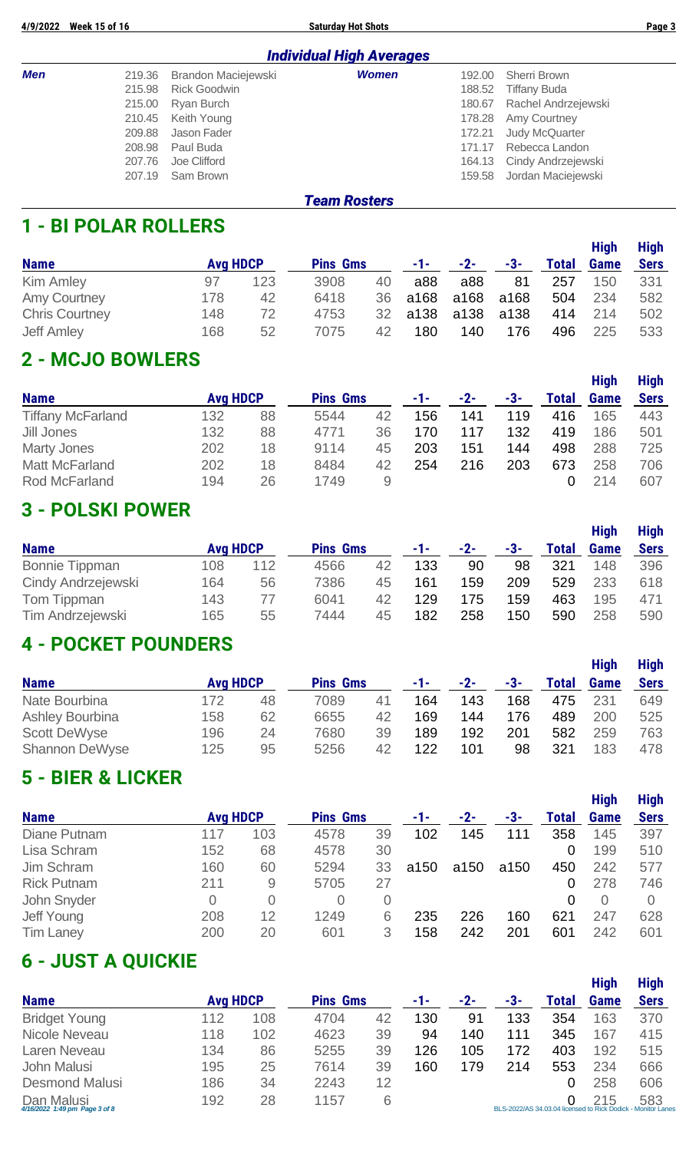**4/9/2022 Week 15 of 16 Saturday Hot Shots Page 3**

|     | <b>Individual High Averages</b> |                     |              |        |                            |  |  |  |  |  |  |  |  |
|-----|---------------------------------|---------------------|--------------|--------|----------------------------|--|--|--|--|--|--|--|--|
| Men | 219.36                          | Brandon Maciejewski | <b>Women</b> | 192.00 | Sherri Brown               |  |  |  |  |  |  |  |  |
|     | 215.98                          | <b>Rick Goodwin</b> |              | 188.52 | Tiffany Buda               |  |  |  |  |  |  |  |  |
|     |                                 | 215.00 Ryan Burch   |              |        | 180.67 Rachel Andrzejewski |  |  |  |  |  |  |  |  |
|     |                                 | 210.45 Keith Young  |              |        | 178.28 Amy Courtney        |  |  |  |  |  |  |  |  |
|     | 209.88                          | Jason Fader         |              | 172.21 | Judy McQuarter             |  |  |  |  |  |  |  |  |
|     | 208.98                          | Paul Buda           |              |        | 171.17 Rebecca Landon      |  |  |  |  |  |  |  |  |
|     | 207.76                          | Joe Clifford        |              |        | 164.13 Cindy Andrzejewski  |  |  |  |  |  |  |  |  |
|     | 207.19                          | Sam Brown           |              |        | 159.58 Jordan Maciejewski  |  |  |  |  |  |  |  |  |
|     |                                 |                     |              |        |                            |  |  |  |  |  |  |  |  |

#### *Team Rosters*

#### **1 - BI POLAR ROLLERS**

| <b>Name</b>           | <b>Avg HDCP</b> |     | <b>Pins Gms</b> |    | $-1-$ | $-2-$ | -3-  | <b>Total</b> | <b>High</b><br><b>Game</b> | <b>High</b><br><b>Sers</b> |
|-----------------------|-----------------|-----|-----------------|----|-------|-------|------|--------------|----------------------------|----------------------------|
| Kim Amley             | 97              | 123 | 3908            | 40 | a88   | a88   | 81   | 257          | 150                        | 331                        |
| <b>Amy Courtney</b>   | 178             | 42  | 6418            | 36 | a168  | a168  | a168 | 504          | 234                        | 582                        |
| <b>Chris Courtney</b> | 148             | 72  | 4753            | 32 | a138  | a138  | a138 | 414          | 214                        | 502                        |
| <b>Jeff Amley</b>     | 168             | 52  | 7075            | 42 | 180   | 140   | 176  | 496          | 225                        | 533                        |

## **2 - MCJO BOWLERS**

|                          |                 |    |                 |    |     |     |     |       | <b>High</b> | <b>High</b> |
|--------------------------|-----------------|----|-----------------|----|-----|-----|-----|-------|-------------|-------------|
| <b>Name</b>              | <b>Avg HDCP</b> |    | <b>Pins Gms</b> |    | -1- | -2- | -3- | Total | <b>Game</b> | <b>Sers</b> |
| <b>Tiffany McFarland</b> | 132             | 88 | 5544            | 42 | 156 | 141 | 119 | 416   | 165         | 443         |
| Jill Jones               | 132             | 88 | 4771            | 36 | 170 | 117 | 132 | 419   | 186         | 501         |
| Marty Jones              | 202             | 18 | 9114            | 45 | 203 | 151 | 144 | 498   | 288         | 725         |
| <b>Matt McFarland</b>    | 202             | 18 | 8484            | 42 | 254 | 216 | 203 | 673   | 258         | 706         |
| Rod McFarland            | 194             | 26 | 1749            | 9  |     |     |     |       | 214         | 607         |

#### **3 - POLSKI POWER**

| <b>Name</b>             | <b>Avg HDCP</b> |     | <b>Pins Gms</b> |    | $-1-$ | -2- | -3- | <b>Total</b> | <b>High</b><br><b>Game</b> | <b>High</b><br><b>Sers</b> |
|-------------------------|-----------------|-----|-----------------|----|-------|-----|-----|--------------|----------------------------|----------------------------|
| <b>Bonnie Tippman</b>   | 108             | 112 | 4566            | 42 | 133   | 90  | 98  | 321          | 148                        | 396                        |
| Cindy Andrzejewski      | 164             | 56  | 7386            | 45 | 161   | 159 | 209 | 529          | 233                        | 618                        |
| Tom Tippman             | 143             | 77  | 6041            | 42 | 129   | 175 | 159 | 463          | 195                        | 471                        |
| <b>Tim Andrzejewski</b> | 165             | 55  | 7444            | 45 | 182   | 258 | 150 | 590          | 258                        | 590                        |

#### **4 - POCKET POUNDERS**

|                        |                 |    |                 |    |     |       |     |       | <b>High</b> | <b>High</b> |
|------------------------|-----------------|----|-----------------|----|-----|-------|-----|-------|-------------|-------------|
| <b>Name</b>            | <b>Avg HDCP</b> |    | <b>Pins Gms</b> |    | -1- | $-2-$ | -3- | Total | <b>Game</b> | <b>Sers</b> |
| Nate Bourbina          | 172             | 48 | 7089            | 41 | 164 | 143   | 168 | 475   | 231         | 649         |
| <b>Ashley Bourbina</b> | 158             | 62 | 6655            | 42 | 169 | 144   | 176 | 489   | 200         | 525         |
| <b>Scott DeWyse</b>    | 196             | 24 | 7680            | 39 | 189 | 192   | 201 | 582   | 259         | 763         |
| <b>Shannon DeWyse</b>  | 125             | 95 | 5256            | 42 | 122 | 101   | 98  | 321   | 183         | 478         |

#### **5 - BIER & LICKER**

|                    |                 |     |                 |    |      |      |      |              | <b>High</b> | <b>High</b> |
|--------------------|-----------------|-----|-----------------|----|------|------|------|--------------|-------------|-------------|
| <b>Name</b>        | <b>Avg HDCP</b> |     | <b>Pins Gms</b> |    | -1-  | -2-  | -3-  | <b>Total</b> | <b>Game</b> | <b>Sers</b> |
| Diane Putnam       | 117             | 103 | 4578            | 39 | 102  | 145  | 111  | 358          | 145         | 397         |
| Lisa Schram        | 152             | 68  | 4578            | 30 |      |      |      | 0            | 199         | 510         |
| Jim Schram         | 160             | 60  | 5294            | 33 | a150 | a150 | a150 | 450          | 242         | 577         |
| <b>Rick Putnam</b> | 211             | 9   | 5705            | 27 |      |      |      | 0            | 278         | 746         |
| John Snyder        | 0               | 0   | 0               | 0  |      |      |      | 0            | $\Omega$    |             |
| Jeff Young         | 208             | 12  | 1249            | 6  | 235  | 226  | 160  | 621          | 247         | 628         |
| <b>Tim Laney</b>   | 200             | 20  | 601             | 3  | 158  | 242  | 201  | 601          | 242         | 601         |

#### **6 - JUST A QUICKIE**

|                                             |                 |     |                 |    |     |     |     |       | <b>High</b>                                                         | <b>High</b> |
|---------------------------------------------|-----------------|-----|-----------------|----|-----|-----|-----|-------|---------------------------------------------------------------------|-------------|
| <b>Name</b>                                 | <b>Avg HDCP</b> |     | <b>Pins Gms</b> |    | -1- | -2- | -3- | Total | <b>Game</b>                                                         | <b>Sers</b> |
| <b>Bridget Young</b>                        | 112             | 108 | 4704            | 42 | 130 | 91  | 133 | 354   | 163                                                                 | 370         |
| Nicole Neveau                               | 118             | 102 | 4623            | 39 | 94  | 140 | 111 | 345   | 167                                                                 | 415         |
| Laren Neveau                                | 134             | 86  | 5255            | 39 | 126 | 105 | 172 | 403   | 192                                                                 | 515         |
| John Malusi                                 | 195             | 25  | 7614            | 39 | 160 | 179 | 214 | 553   | 234                                                                 | 666         |
| <b>Desmond Malusi</b>                       | 186             | 34  | 2243            | 12 |     |     |     | 0     | 258                                                                 | 606         |
| Dan Malusi<br>4/16/2022 1:49 pm Page 3 of 8 | 192             | 28  | 1157            | 6  |     |     |     |       | 215<br>BLS-2022/AS 34.03.04 licensed to Rick Dodick - Monitor Lanes | 583         |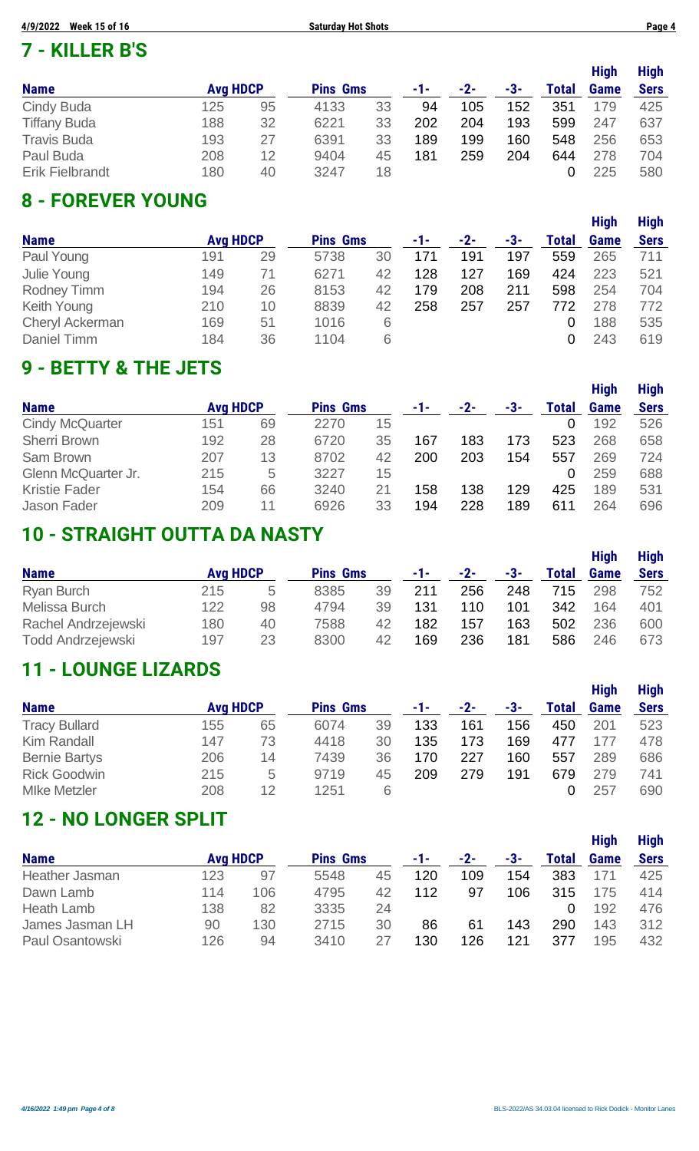#### **7 - KILLER B'S**

|                        |                 |    |                 |    |     |     |     |              | <b>High</b> | <b>High</b> |
|------------------------|-----------------|----|-----------------|----|-----|-----|-----|--------------|-------------|-------------|
| <b>Name</b>            | <b>Avg HDCP</b> |    | <b>Pins Gms</b> |    | -1- | -2- | -3- | <b>Total</b> | <b>Game</b> | <b>Sers</b> |
| Cindy Buda             | 125             | 95 | 4133            | 33 | 94  | 105 | 152 | 351          | 179         | 425         |
| <b>Tiffany Buda</b>    | 188             | 32 | 6221            | 33 | 202 | 204 | 193 | 599          | 247         | 637         |
| <b>Travis Buda</b>     | 193             | 27 | 6391            | 33 | 189 | 199 | 160 | 548          | 256         | 653         |
| Paul Buda              | 208             | 12 | 9404            | 45 | 181 | 259 | 204 | 644          | 278         | 704         |
| <b>Erik Fielbrandt</b> | 180             | 40 | 3247            | 18 |     |     |     |              | 225         | 580         |

#### **8 - FOREVER YOUNG**

|                        |                 |    |                 |    |     |     |     |       | <b>High</b> | <b>High</b> |
|------------------------|-----------------|----|-----------------|----|-----|-----|-----|-------|-------------|-------------|
| <b>Name</b>            | <b>Avg HDCP</b> |    | <b>Pins Gms</b> |    | -1- | -2- | -3- | Total | <b>Game</b> | <b>Sers</b> |
| Paul Young             | 191             | 29 | 5738            | 30 | 171 | 191 | 197 | 559   | 265         | 711         |
| Julie Young            | 149             | 71 | 6271            | 42 | 128 | 127 | 169 | 424   | 223         | 521         |
| <b>Rodney Timm</b>     | 194             | 26 | 8153            | 42 | 179 | 208 | 211 | 598   | 254         | 704         |
| Keith Young            | 210             | 10 | 8839            | 42 | 258 | 257 | 257 | 772   | 278         | 772         |
| <b>Cheryl Ackerman</b> | 169             | 51 | 1016            | 6  |     |     |     | 0     | 188         | 535         |
| Daniel Timm            | 184             | 36 | 1104            | 6  |     |     |     | 0     | 243         | 619         |

#### **9 - BETTY & THE JETS**

| <b>Name</b>            | <b>Avg HDCP</b> |    | <b>Pins Gms</b> |    | -1- | -2- | -3- | <b>Total</b> | <b>High</b><br><b>Game</b> | <b>High</b><br><b>Sers</b> |
|------------------------|-----------------|----|-----------------|----|-----|-----|-----|--------------|----------------------------|----------------------------|
|                        |                 |    |                 |    |     |     |     |              |                            |                            |
| <b>Cindy McQuarter</b> | 151             | 69 | 2270            | 15 |     |     |     | 0            | 192                        | 526                        |
| <b>Sherri Brown</b>    | 192             | 28 | 6720            | 35 | 167 | 183 | 173 | 523          | 268                        | 658                        |
| Sam Brown              | 207             | 13 | 8702            | 42 | 200 | 203 | 154 | 557          | 269                        | 724                        |
| Glenn McQuarter Jr.    | 215             | 5  | 3227            | 15 |     |     |     | 0            | 259                        | 688                        |
| <b>Kristie Fader</b>   | 154             | 66 | 3240            | 21 | 158 | 138 | 129 | 425          | 189                        | 531                        |
| Jason Fader            | 209             | 11 | 6926            | 33 | 194 | 228 | 189 | 611          | 264                        | 696                        |

## **10 - STRAIGHT OUTTA DA NASTY**

| <b>Name</b>              | <b>Avg HDCP</b> |    | <b>Pins Gms</b> |    | -1- | $-2-$ | -3- | <b>Total</b> | <b>High</b><br><b>Game</b> | <b>High</b><br><b>Sers</b> |
|--------------------------|-----------------|----|-----------------|----|-----|-------|-----|--------------|----------------------------|----------------------------|
| <b>Ryan Burch</b>        | 215             | b  | 8385            | 39 | 211 | 256   | 248 | 715          | 298                        | 752                        |
| Melissa Burch            | 122             | 98 | 4794            | 39 | 131 | 110   | 101 | 342          | 164                        | 401                        |
| Rachel Andrzejewski      | 180             | 40 | 7588            | 42 | 182 | 157   | 163 | 502          | 236                        | 600                        |
| <b>Todd Andrzejewski</b> | 197             | 23 | 8300            | 42 | 169 | 236   | 181 | 586          | 246                        | 673                        |

#### **11 - LOUNGE LIZARDS**

|                      |                 |    |                 |    |     |       |     |              | <b>High</b> | <b>High</b> |
|----------------------|-----------------|----|-----------------|----|-----|-------|-----|--------------|-------------|-------------|
| <b>Name</b>          | <b>Avg HDCP</b> |    | <b>Pins Gms</b> |    | -1- | $-2-$ | -3- | <b>Total</b> | <b>Game</b> | <b>Sers</b> |
| <b>Tracy Bullard</b> | 155             | 65 | 6074            | 39 | 133 | 161   | 156 | 450          | 201         | 523         |
| Kim Randall          | 147             | 73 | 4418            | 30 | 135 | 173   | 169 | 477          | 177         | 478         |
| <b>Bernie Bartys</b> | 206             | 14 | 7439            | 36 | 170 | 227   | 160 | 557          | 289         | 686         |
| <b>Rick Goodwin</b>  | 215             | 5  | 9719            | 45 | 209 | 279   | 191 | 679          | 279         | 741         |
| <b>MIke Metzler</b>  | 208             | 12 | 1251            | 6  |     |       |     |              | 257         | 690         |

#### **12 - NO LONGER SPLIT**

|                 |                 |     |                 |    |     |     |     |              | <b>High</b> | <b>High</b> |
|-----------------|-----------------|-----|-----------------|----|-----|-----|-----|--------------|-------------|-------------|
| <b>Name</b>     | <b>Avg HDCP</b> |     | <b>Pins Gms</b> |    | -1- | -2- | -3- | <b>Total</b> | <b>Game</b> | <b>Sers</b> |
| Heather Jasman  | 123             | 97  | 5548            | 45 | 120 | 109 | 154 | 383          | 171         | 425         |
| Dawn Lamb       | 114             | 106 | 4795            | 42 | 112 | 97  | 106 | 315          | 175         | 414         |
| Heath Lamb      | 138             | 82  | 3335            | 24 |     |     |     |              | 192         | 476         |
| James Jasman LH | 90              | 130 | 2715            | 30 | 86  | 61  | 143 | 290          | 143         | 312         |
| Paul Osantowski | 126             | 94  | 3410            | 27 | 130 | 126 | 121 | 377          | 195         | 432         |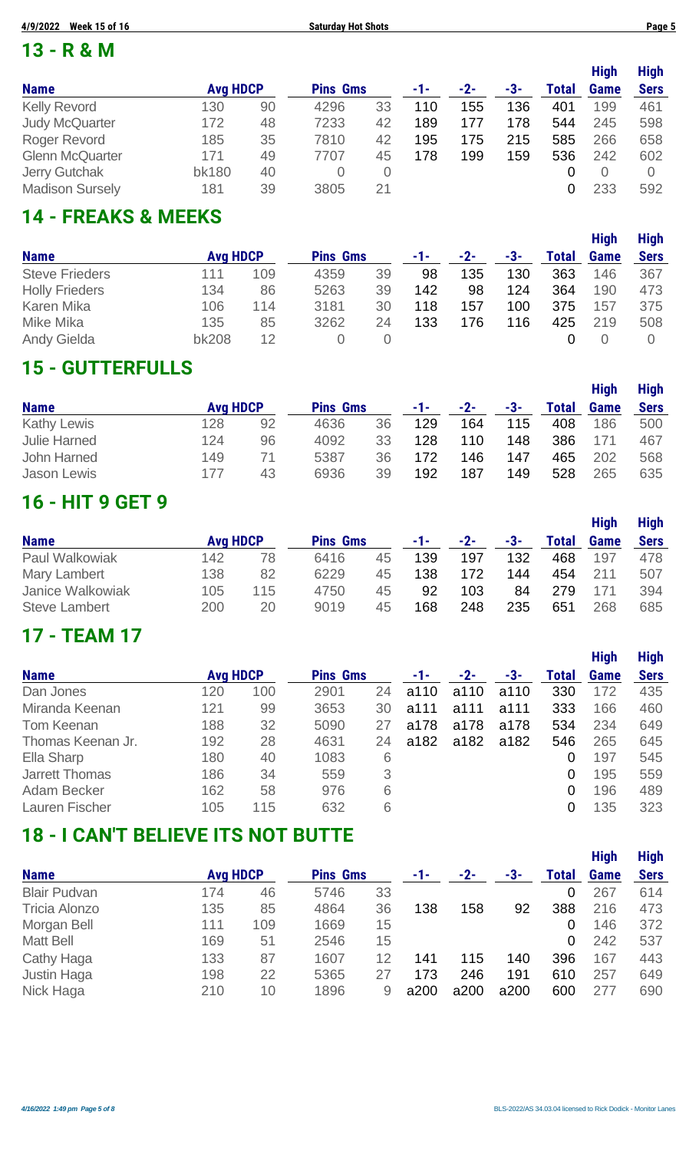#### **13 - R & M**

| <b>Name</b>            | <b>Avg HDCP</b> |    | <b>Pins Gms</b> |    | -1- | -2- | -3- | Total | <b>High</b><br><b>Game</b> | <b>High</b><br><b>Sers</b> |
|------------------------|-----------------|----|-----------------|----|-----|-----|-----|-------|----------------------------|----------------------------|
| <b>Kelly Revord</b>    | 130             | 90 | 4296            | 33 | 110 | 155 | 136 | 401   | 199                        | 461                        |
| <b>Judy McQuarter</b>  | 172             | 48 | 7233            | 42 | 189 | 177 | 178 | 544   | 245                        | 598                        |
| Roger Revord           | 185             | 35 | 7810            | 42 | 195 | 175 | 215 | 585   | 266                        | 658                        |
| <b>Glenn McQuarter</b> | 171             | 49 | 7707            | 45 | 178 | 199 | 159 | 536   | 242                        | 602                        |
| <b>Jerry Gutchak</b>   | <b>bk180</b>    | 40 |                 | 0  |     |     |     |       | $\cup$                     |                            |
| <b>Madison Sursely</b> | 181             | 39 | 3805            | 21 |     |     |     | 0     | 233                        | 592                        |

## **14 - FREAKS & MEEKS**

|                       |                 |     |                 |    |     |     |     |              | <b>High</b> | <b>High</b> |
|-----------------------|-----------------|-----|-----------------|----|-----|-----|-----|--------------|-------------|-------------|
| <b>Name</b>           | <b>Avg HDCP</b> |     | <b>Pins Gms</b> |    | -1- | -2- | -3- | <b>Total</b> | Game        | <b>Sers</b> |
| <b>Steve Frieders</b> | 111             | 109 | 4359            | 39 | 98  | 135 | 130 | 363          | 146         | 367         |
| <b>Holly Frieders</b> | 134             | 86  | 5263            | 39 | 142 | 98  | 124 | 364          | 190         | 473         |
| Karen Mika            | 106             | 114 | 3181            | 30 | 118 | 157 | 100 | 375          | 157         | 375         |
| Mike Mika             | 135             | 85  | 3262            | 24 | 133 | 176 | 116 | 425          | 219         | 508         |
| <b>Andy Gielda</b>    | <b>bk208</b>    | 12  |                 |    |     |     |     |              |             |             |

#### **15 - GUTTERFULLS**

|                     |                 |    |                 |    |     |       |     |       | <b>High</b> | <b>High</b> |
|---------------------|-----------------|----|-----------------|----|-----|-------|-----|-------|-------------|-------------|
| <b>Name</b>         | <b>Avg HDCP</b> |    | <b>Pins Gms</b> |    | -1- | $-2-$ | -3- | Total | <b>Game</b> | <b>Sers</b> |
| <b>Kathy Lewis</b>  | 128             | 92 | 4636            | 36 | 129 | 164   | 115 | 408   | 186         | 500         |
| <b>Julie Harned</b> | 124             | 96 | 4092            | 33 | 128 | 110   | 148 | 386   | 171         | 467         |
| John Harned         | 149             | 71 | 5387            | 36 | 172 | 146   | 147 | 465   | 202         | 568         |
| Jason Lewis         | 177             | 43 | 6936            | 39 | 192 | 187   | 149 | 528   | 265         | 635         |

## **16 - HIT 9 GET 9**

|                      |                 |     |                 |    |     |       |     |       | <b>High</b> | <b>High</b> |
|----------------------|-----------------|-----|-----------------|----|-----|-------|-----|-------|-------------|-------------|
| <b>Name</b>          | <b>Avg HDCP</b> |     | <b>Pins Gms</b> |    | -1- | $-2-$ | -3- | Total | Game        | <b>Sers</b> |
| Paul Walkowiak       | 142             | 78  | 6416            | 45 | 139 | 197   | 132 | 468   | 197         | 478         |
| Mary Lambert         | 138             | 82  | 6229            | 45 | 138 | 172   | 144 | 454   | 211         | 507         |
| Janice Walkowiak     | 105             | 115 | 4750            | 45 | 92  | 103   | 84  | 279   | 171         | 394         |
| <b>Steve Lambert</b> | 200             | 20  | 9019            | 45 | 168 | 248   | 235 | 651   | 268         | 685         |

#### **17 - TEAM 17**

|                       |                 |     |                 |    |      |      |      |                | <b>High</b> | <b>High</b> |
|-----------------------|-----------------|-----|-----------------|----|------|------|------|----------------|-------------|-------------|
| <b>Name</b>           | <b>Avg HDCP</b> |     | <b>Pins Gms</b> |    | -1-  | -2-  | -3-  | Total          | <b>Game</b> | <b>Sers</b> |
| Dan Jones             | 120             | 100 | 2901            | 24 | a110 | a110 | a110 | 330            | 172         | 435         |
| Miranda Keenan        | 121             | 99  | 3653            | 30 | a111 | a111 | a111 | 333            | 166         | 460         |
| Tom Keenan            | 188             | 32  | 5090            | 27 | a178 | a178 | a178 | 534            | 234         | 649         |
| Thomas Keenan Jr.     | 192             | 28  | 4631            | 24 | a182 | a182 | a182 | 546            | 265         | 645         |
| Ella Sharp            | 180             | 40  | 1083            | 6  |      |      |      | 0              | 197         | 545         |
| <b>Jarrett Thomas</b> | 186             | 34  | 559             | 3  |      |      |      | 0              | 195         | 559         |
| Adam Becker           | 162             | 58  | 976             | 6  |      |      |      | $\overline{0}$ | 196         | 489         |
| Lauren Fischer        | 105             | 115 | 632             | 6  |      |      |      | 0              | 135         | 323         |

#### **18 - I CAN'T BELIEVE ITS NOT BUTTE**

|                      |                 |     |                 |    |      |      |      |              | <b>High</b> | <b>High</b> |
|----------------------|-----------------|-----|-----------------|----|------|------|------|--------------|-------------|-------------|
| <b>Name</b>          | <b>Avg HDCP</b> |     | <b>Pins Gms</b> |    | -1-  | -2-  | -3-  | <b>Total</b> | <b>Game</b> | <b>Sers</b> |
| <b>Blair Pudvan</b>  | 174             | 46  | 5746            | 33 |      |      |      | 0            | 267         | 614         |
| <b>Tricia Alonzo</b> | 135             | 85  | 4864            | 36 | 138  | 158  | 92   | 388          | 216         | 473         |
| Morgan Bell          | 111             | 109 | 1669            | 15 |      |      |      | 0            | 146         | 372         |
| <b>Matt Bell</b>     | 169             | 51  | 2546            | 15 |      |      |      | 0            | 242         | 537         |
| Cathy Haga           | 133             | 87  | 1607            | 12 | 141  | 115  | 140  | 396          | 167         | 443         |
| Justin Haga          | 198             | 22  | 5365            | 27 | 173  | 246  | 191  | 610          | 257         | 649         |
| Nick Haga            | 210             | 10  | 1896            | 9  | a200 | a200 | a200 | 600          | 277         | 690         |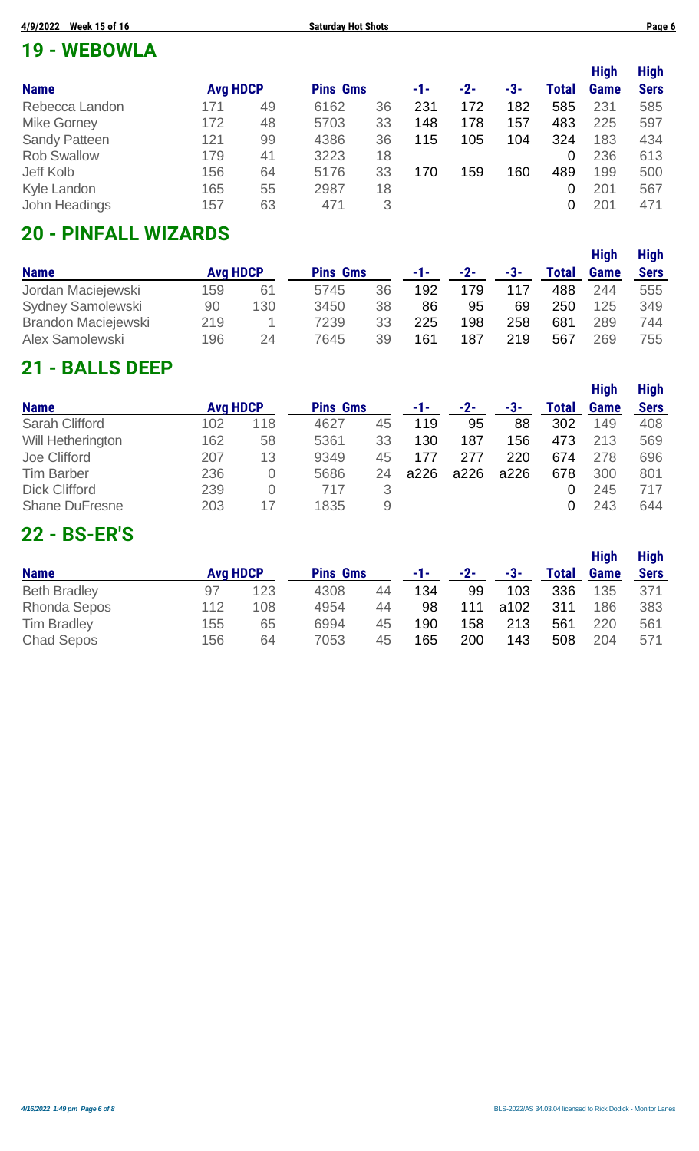## **19 - WEBOWLA**

|                      |                 |    |                 |    |     |     |     |       | <b>High</b> | <b>High</b> |
|----------------------|-----------------|----|-----------------|----|-----|-----|-----|-------|-------------|-------------|
| <b>Name</b>          | <b>Avg HDCP</b> |    | <b>Pins Gms</b> |    | -1- | -2- | -3- | Total | <b>Game</b> | <b>Sers</b> |
| Rebecca Landon       | 171             | 49 | 6162            | 36 | 231 | 172 | 182 | 585   | 231         | 585         |
| <b>Mike Gorney</b>   | 172             | 48 | 5703            | 33 | 148 | 178 | 157 | 483   | 225         | 597         |
| <b>Sandy Patteen</b> | 121             | 99 | 4386            | 36 | 115 | 105 | 104 | 324   | 183         | 434         |
| <b>Rob Swallow</b>   | 179             | 41 | 3223            | 18 |     |     |     | 0     | 236         | 613         |
| Jeff Kolb            | 156             | 64 | 5176            | 33 | 170 | 159 | 160 | 489   | 199         | 500         |
| Kyle Landon          | 165             | 55 | 2987            | 18 |     |     |     | 0     | 201         | 567         |
| John Headings        | 157             | 63 | 471             | 3  |     |     |     | 0     | 201         | 471         |

## **20 - PINFALL WIZARDS**

|                            |                 |     |                 |    |     |       |     |       | <b>High</b> | <b>High</b> |
|----------------------------|-----------------|-----|-----------------|----|-----|-------|-----|-------|-------------|-------------|
| <b>Name</b>                | <b>Avg HDCP</b> |     | <b>Pins Gms</b> |    | -1- | $-2-$ | -3- | Total | <b>Game</b> | <b>Sers</b> |
| Jordan Maciejewski         | 159             | 61  | 5745            | 36 | 192 | 179   |     | 488   | 244         | 555         |
| <b>Sydney Samolewski</b>   | 90              | 130 | 3450            | 38 | 86  | 95    | 69  | 250   | 125         | 349         |
| <b>Brandon Maciejewski</b> | 219             |     | 7239            | 33 | 225 | 198   | 258 | 681   | 289         | 744         |
| Alex Samolewski            | 196             | 24  | 7645            | 39 | 161 | 187   | 219 | 567   | 269         | 755         |

#### **21 - BALLS DEEP**

|                       |                 |     |                 |    |      |      |      |       | <b>High</b> | <b>High</b> |
|-----------------------|-----------------|-----|-----------------|----|------|------|------|-------|-------------|-------------|
| <b>Name</b>           | <b>Avg HDCP</b> |     | <b>Pins Gms</b> |    | -1-  | -2-  | -3-  | Total | <b>Game</b> | <b>Sers</b> |
| <b>Sarah Clifford</b> | 102             | 118 | 4627            | 45 | 119  | 95   | 88   | 302   | 149         | 408         |
| Will Hetherington     | 162             | 58  | 5361            | 33 | 130  | 187  | 156  | 473   | 213         | 569         |
| Joe Clifford          | 207             | 13  | 9349            | 45 | 177  | 277  | 220  | 674   | 278         | 696         |
| <b>Tim Barber</b>     | 236             | O   | 5686            | 24 | a226 | a226 | a226 | 678   | 300         | 801         |
| <b>Dick Clifford</b>  | 239             | 0   | 717             | 3  |      |      |      |       | 245         | 717         |
| <b>Shane DuFresne</b> | 203             | 17  | 1835            | 9  |      |      |      |       | 243         | 644         |

## **22 - BS-ER'S**

|                     |                 |     |                 |    |     |       |      |       | <b>High</b> | <b>High</b> |
|---------------------|-----------------|-----|-----------------|----|-----|-------|------|-------|-------------|-------------|
| <b>Name</b>         | <b>Avg HDCP</b> |     | <b>Pins Gms</b> |    | -1- | $-2-$ | -3-  | Total | Game        | <b>Sers</b> |
| <b>Beth Bradley</b> | 97              | 123 | 4308            | 44 | 134 | 99    | 103  | 336   | 135         | 371         |
| <b>Rhonda Sepos</b> | 112             | 108 | 4954            | 44 | 98  | 111   | a102 | 311   | 186         | 383         |
| <b>Tim Bradley</b>  | 155             | 65  | 6994            | 45 | 190 | 158   | 213  | 561   | 220         | 561         |
| <b>Chad Sepos</b>   | 156             | 64  | 7053            | 45 | 165 | 200   | 143  | 508   | 204         | 571         |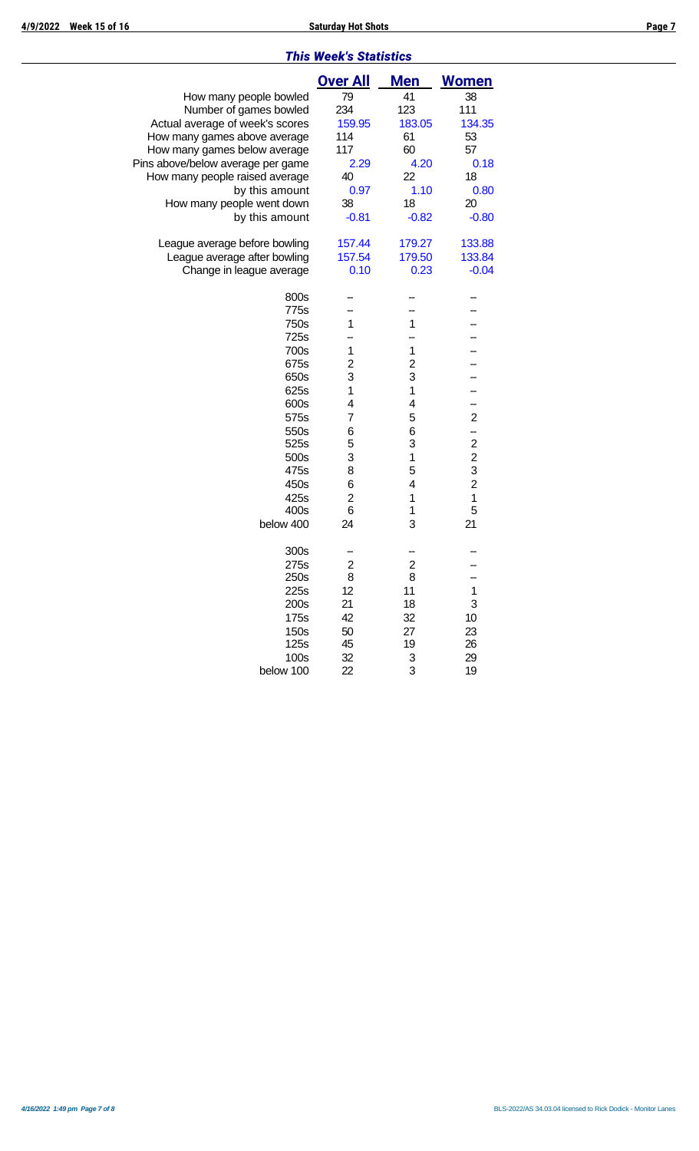#### *This Week's Statistics*

|                                   | <b>Over All</b>         | <b>Men</b>              | <b>Women</b>     |
|-----------------------------------|-------------------------|-------------------------|------------------|
| How many people bowled            | 79                      | 41                      | 38               |
| Number of games bowled            | 234                     | 123                     | 111              |
| Actual average of week's scores   | 159.95                  | 183.05                  | 134.35           |
| How many games above average      | 114                     | 61                      | 53               |
| How many games below average      | 117                     | 60                      | 57               |
| Pins above/below average per game | 2.29                    | 4.20                    | 0.18             |
| How many people raised average    | 40                      | 22                      | 18               |
| by this amount                    | 0.97                    | 1.10                    | 0.80             |
| How many people went down         | 38                      | 18                      | 20               |
| by this amount                    | $-0.81$                 | $-0.82$                 | $-0.80$          |
| League average before bowling     | 157.44                  | 179.27                  | 133.88           |
| League average after bowling      | 157.54                  | 179.50                  | 133.84           |
| Change in league average          | 0.10                    | 0.23                    | $-0.04$          |
| 800s                              |                         |                         |                  |
| 775s                              |                         |                         |                  |
| 750s                              | 1                       | 1                       |                  |
| 725s                              |                         |                         |                  |
| 700s                              | 1                       | $\mathbf 1$             |                  |
| 675s                              | $\overline{\mathbf{c}}$ | $\overline{\mathbf{c}}$ |                  |
| 650s                              | 3                       | 3                       |                  |
| 625s                              | 1                       | $\mathbf 1$             |                  |
| 600s                              | 4                       | 4                       |                  |
| 575s                              | $\overline{7}$          | 5                       | $\overline{2}$   |
| 550s                              | 6                       | 6                       | --               |
| 525s                              | 5                       | 3                       | $\boldsymbol{2}$ |
| 500s                              | 3                       | $\mathbf 1$             | $\overline{c}$   |
| 475s                              | 8                       | 5                       | 3                |
| 450s                              | 6                       | 4                       | $\overline{c}$   |
| 425s                              | $\overline{2}$          | $\mathbf 1$             | 1                |
| 400s                              | 6                       | 1                       | 5                |
| below 400                         | 24                      | 3                       | 21               |
| 300s                              |                         |                         |                  |
| 275s                              | $\overline{\mathbf{c}}$ | $\overline{\mathbf{c}}$ |                  |
| 250s                              | 8                       | 8                       |                  |
| 225s                              | 12                      | 11                      | 1                |
| 200s                              | 21                      | 18                      | 3                |
| 175s                              | 42                      | 32                      | 10               |
| 150s                              | 50                      | 27                      | 23               |
| 125s                              | 45                      | 19                      | 26               |
| 100s                              | 32                      | 3                       | 29               |
| below 100                         | 22                      | 3                       | 19               |